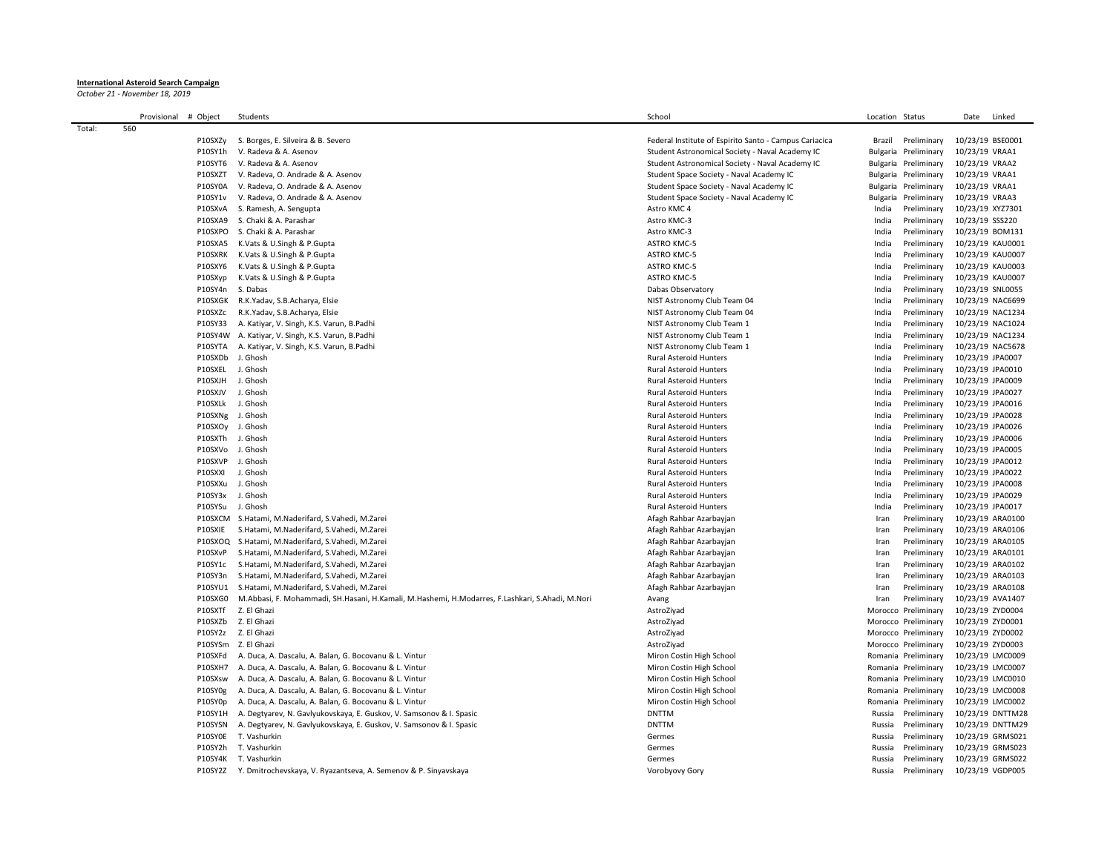## **International Asteroid Search Campaign**

*October 21 - November 18, 2019*

|        | Provisional<br># Object | Students                                                                                        | School                                                 | Location Status                     | Linked<br>Date                       |
|--------|-------------------------|-------------------------------------------------------------------------------------------------|--------------------------------------------------------|-------------------------------------|--------------------------------------|
| Total: | 560                     |                                                                                                 |                                                        |                                     |                                      |
|        | P10SXZy                 | S. Borges, E. Silveira & B. Severo                                                              | Federal Institute of Espirito Santo - Campus Cariacica | Brazil<br>Preliminary               | 10/23/19 BSE0001                     |
|        | P10SY1h                 | V. Radeva & A. Asenov                                                                           | Student Astronomical Society - Naval Academy IC        | Preliminary<br>Bulgaria             | 10/23/19 VRAA1                       |
|        | P10SYT6                 | V. Radeva & A. Asenov                                                                           | Student Astronomical Society - Naval Academy IC        | Bulgaria<br>Preliminary             | 10/23/19 VRAA2                       |
|        | P10SXZT                 | V. Radeva, O. Andrade & A. Asenov                                                               | Student Space Society - Naval Academy IC               | Bulgaria<br>Preliminary             | 10/23/19 VRAA1                       |
|        | P10SY0A                 | V. Radeva, O. Andrade & A. Asenov                                                               | Student Space Society - Naval Academy IC               | Preliminary<br>Bulgaria             | 10/23/19 VRAA1                       |
|        | P10SY1v                 | V. Radeva, O. Andrade & A. Asenov                                                               | Student Space Society - Naval Academy IC               | Preliminary<br>Bulgaria             | 10/23/19 VRAA3                       |
|        | P10SXvA                 | S. Ramesh, A. Sengupta                                                                          | Astro KMC 4                                            | India<br>Preliminary                | 10/23/19 XYZ7301                     |
|        | P10SXA9                 | S. Chaki & A. Parashar                                                                          | Astro KMC-3                                            | India<br>Preliminary                | 10/23/19 SSS220                      |
|        | P10SXPO                 | S. Chaki & A. Parashar                                                                          | Astro KMC-3                                            | Preliminary<br>India                | 10/23/19 BOM131                      |
|        | P10SXA5                 | K.Vats & U.Singh & P.Gupta                                                                      | <b>ASTRO KMC-5</b>                                     | India<br>Preliminary                | 10/23/19 KAU0001                     |
|        | P10SXRK                 | K.Vats & U.Singh & P.Gupta                                                                      | <b>ASTRO KMC-5</b>                                     | Preliminary<br>India                | 10/23/19 KAU0007                     |
|        | P10SXY6                 | K.Vats & U.Singh & P.Gupta                                                                      | <b>ASTRO KMC-5</b>                                     | Preliminary<br>India                | 10/23/19 KAU0003                     |
|        | P10SXyp                 | K.Vats & U.Singh & P.Gupta                                                                      | <b>ASTRO KMC-5</b>                                     | India<br>Preliminary                | 10/23/19 KAU0007                     |
|        | P10SY4n                 | S. Dabas                                                                                        | Dabas Observatory                                      | Preliminary<br>India                | 10/23/19 SNL0055                     |
|        | P10SXGK                 | R.K.Yadav, S.B.Acharya, Elsie                                                                   | NIST Astronomy Club Team 04                            | Preliminary<br>India                | 10/23/19 NAC6699                     |
|        | P10SXZc                 | R.K.Yadav, S.B.Acharya, Elsie                                                                   | NIST Astronomy Club Team 04                            | India<br>Preliminary                | 10/23/19 NAC1234                     |
|        | P10SY33                 | A. Katiyar, V. Singh, K.S. Varun, B.Padhi                                                       | NIST Astronomy Club Team 1                             | India<br>Preliminary                | 10/23/19 NAC1024                     |
|        | P10SY4W                 | A. Katiyar, V. Singh, K.S. Varun, B.Padhi                                                       | NIST Astronomy Club Team 1                             | India<br>Preliminary                | 10/23/19 NAC1234                     |
|        | P10SYTA                 | A. Katiyar, V. Singh, K.S. Varun, B.Padhi                                                       | NIST Astronomy Club Team 1                             | India<br>Preliminary                | 10/23/19 NAC5678                     |
|        | P10SXDb                 | J. Ghosh                                                                                        | <b>Rural Asteroid Hunters</b>                          | Preliminary<br>India                | 10/23/19 JPA0007                     |
|        | P10SXEL                 | J. Ghosh                                                                                        | <b>Rural Asteroid Hunters</b>                          | Preliminary<br>India                | 10/23/19 JPA0010                     |
|        | P10SXJH                 | J. Ghosh                                                                                        | <b>Rural Asteroid Hunters</b>                          | India<br>Preliminary                | 10/23/19 JPA0009                     |
|        | P10SXJV                 | J. Ghosh                                                                                        | <b>Rural Asteroid Hunters</b>                          | Preliminary<br>India                | 10/23/19 JPA0027                     |
|        | P10SXLk                 | J. Ghosh                                                                                        | <b>Rural Asteroid Hunters</b>                          | Preliminary<br>India                | 10/23/19 JPA0016                     |
|        | P10SXNg                 | J. Ghosh                                                                                        | <b>Rural Asteroid Hunters</b>                          | Preliminary<br>India                | 10/23/19 JPA0028                     |
|        | P10SXO <sub>V</sub>     | J. Ghosh                                                                                        | <b>Rural Asteroid Hunters</b>                          | India<br>Preliminary                | 10/23/19 JPA0026                     |
|        | P10SXTh                 | J. Ghosh                                                                                        | <b>Rural Asteroid Hunters</b>                          | India<br>Preliminary                | 10/23/19 JPA0006                     |
|        | P10SXVo                 | J. Ghosh                                                                                        | <b>Rural Asteroid Hunters</b>                          | Preliminary<br>India                | 10/23/19 JPA0005                     |
|        | P10SXVP                 | J. Ghosh                                                                                        | <b>Rural Asteroid Hunters</b>                          | India<br>Preliminary                | 10/23/19 JPA0012                     |
|        | P10SXXI                 | J. Ghosh                                                                                        | <b>Rural Asteroid Hunters</b>                          | India<br>Preliminary                | 10/23/19 JPA0022                     |
|        | P10SXXu                 | J. Ghosh                                                                                        | <b>Rural Asteroid Hunters</b>                          | India<br>Preliminary                | 10/23/19 JPA0008                     |
|        | P10SY3x                 | J. Ghosh                                                                                        | <b>Rural Asteroid Hunters</b>                          | Preliminary<br>India                | 10/23/19 JPA0029                     |
|        | P10SYSu                 | J. Ghosh<br>P10SXCM S.Hatami, M.Naderifard, S.Vahedi, M.Zarei                                   | <b>Rural Asteroid Hunters</b>                          | India<br>Preliminary<br>Preliminary | 10/23/19 JPA0017                     |
|        | P10SXIE                 | S.Hatami, M.Naderifard, S.Vahedi, M.Zarei                                                       | Afagh Rahbar Azarbayjan<br>Afagh Rahbar Azarbayjan     | Iran<br>Preliminary<br>Iran         | 10/23/19 ARA0100<br>10/23/19 ARA0106 |
|        | P10SXOQ                 | S.Hatami, M.Naderifard, S.Vahedi, M.Zarei                                                       | Afagh Rahbar Azarbayjan                                | Preliminary<br>Iran                 | 10/23/19 ARA0105                     |
|        | P10SXvP                 | S.Hatami, M.Naderifard, S.Vahedi, M.Zarei                                                       | Afagh Rahbar Azarbayjan                                | Preliminary<br>Iran                 | 10/23/19 ARA0101                     |
|        | P10SY1c                 | S.Hatami, M.Naderifard, S.Vahedi, M.Zarei                                                       | Afagh Rahbar Azarbayjan                                | Preliminary<br>Iran                 | 10/23/19 ARA0102                     |
|        | P10SY3n                 | S.Hatami, M.Naderifard, S.Vahedi, M.Zarei                                                       | Afagh Rahbar Azarbayjan                                | Iran<br>Preliminary                 | 10/23/19 ARA0103                     |
|        | P10SYU1                 | S.Hatami, M.Naderifard, S.Vahedi, M.Zarei                                                       | Afagh Rahbar Azarbayjan                                | Preliminary<br>Iran                 | 10/23/19 ARA0108                     |
|        | P10SXG0                 | M.Abbasi, F. Mohammadi, SH.Hasani, H.Kamali, M.Hashemi, H.Modarres, F.Lashkari, S.Ahadi, M.Nori | Avang                                                  | Preliminary<br>Iran                 | 10/23/19 AVA1407                     |
|        | P10SXTf                 | Z. El Ghazi                                                                                     | AstroZiyad                                             | Morocco Preliminary                 | 10/23/19 ZYD0004                     |
|        | P10SXZb                 | Z. El Ghazi                                                                                     | AstroZiyad                                             | Morocco Preliminary                 | 10/23/19 ZYD0001                     |
|        | P10SY2z                 | Z. El Ghazi                                                                                     | AstroZiyad                                             | Morocco Preliminary                 | 10/23/19 ZYD0002                     |
|        | P10SYSm                 | Z. El Ghazi                                                                                     | AstroZiyad                                             | Morocco Preliminary                 | 10/23/19 ZYD0003                     |
|        | P10SXFd                 | A. Duca, A. Dascalu, A. Balan, G. Bocovanu & L. Vintur                                          | Miron Costin High School                               | Romania Preliminary                 | 10/23/19 LMC0009                     |
|        | P10SXH7                 | A. Duca, A. Dascalu, A. Balan, G. Bocovanu & L. Vintur                                          | Miron Costin High School                               | Romania Preliminary                 | 10/23/19 LMC0007                     |
|        | P10SXsw                 | A. Duca, A. Dascalu, A. Balan, G. Bocovanu & L. Vintur                                          | Miron Costin High School                               | Romania Preliminary                 | 10/23/19 LMC0010                     |
|        | P10SY0g                 | A. Duca, A. Dascalu, A. Balan, G. Bocovanu & L. Vintur                                          | Miron Costin High School                               | Romania Preliminary                 | 10/23/19 LMC0008                     |
|        | P10SY0p                 | A. Duca, A. Dascalu, A. Balan, G. Bocovanu & L. Vintur                                          | Miron Costin High School                               | Preliminary<br>Romania              | 10/23/19 LMC0002                     |
|        | P10SY1H                 | A. Degtyarev, N. Gavlyukovskaya, E. Guskov, V. Samsonov & I. Spasic                             | <b>DNTTM</b>                                           | Preliminary<br>Russia               | 10/23/19 DNTTM28                     |
|        | P10SYSN                 | A. Degtyarev, N. Gavlyukovskaya, E. Guskov, V. Samsonov & I. Spasic                             | <b>DNTTM</b>                                           | Russia<br>Preliminary               | 10/23/19 DNTTM29                     |
|        | P10SY0E                 | T. Vashurkin                                                                                    | Germes                                                 | Russia<br>Preliminary               | 10/23/19 GRMS021                     |
|        | P10SY2h                 | T. Vashurkin                                                                                    | Germes                                                 | Preliminary<br>Russia               | 10/23/19 GRMS023                     |
|        | P10SY4K                 | T. Vashurkin                                                                                    | Germes                                                 | Preliminary<br>Russia               | 10/23/19 GRMS022                     |
|        |                         | P10SY2Z Y. Dmitrochevskaya, V. Ryazantseva, A. Semenov & P. Sinyavskaya                         | Vorobyovy Gory                                         | Preliminary<br>Russia               | 10/23/19 VGDP005                     |
|        |                         |                                                                                                 |                                                        |                                     |                                      |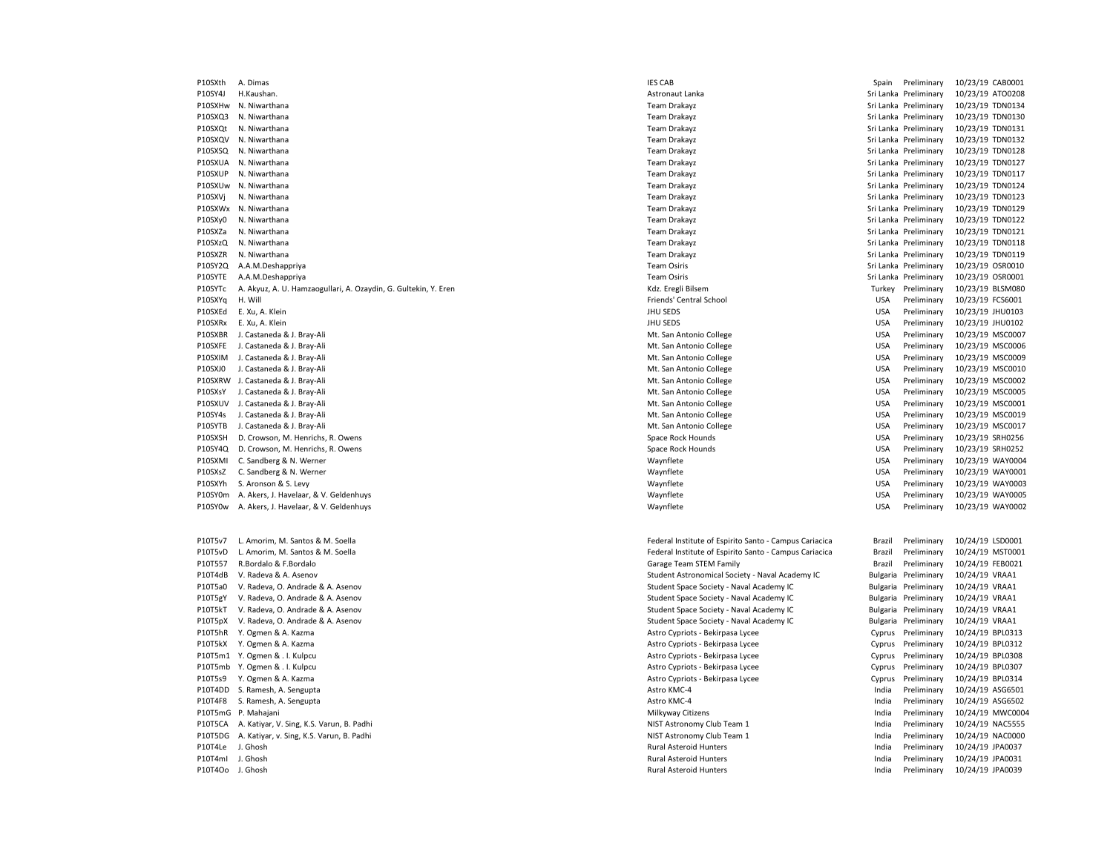P10SXth A. Dimas **Implementary 10/23/19 CAB0001** IES CAB **Spain Preliminary 10/23/19 CAB0001** P10SY4J H.Kaushan. 20/23/19 ATO0208 November 2012 12:3/19 AStronaut Lanka Sri Lanka Sri Lanka Preliminary 10/23/19 ATO0208 P10SXHw N. Niwarthana 2023/19 TDN0134 Change and Sri Lanka Preliminary 10/23/19 TDN0134 P10SXQ3 N. Niwarthana **Team Drakayz** Team Drakayz Sri Lanka Preliminary 10/23/19 TDN0130 P10SXQt N. Niwarthana 20/23/19 TDN0131 2012 10:00:00 Team Drakayz Team Drakayz Sri Lanka Preliminary 10/23/19 TDN0131 P10SXQV N. Niwarthana 20/23/19 TDN0132 2012 12:00 12:00 Team Drakayz Team Drakayz Sri Lanka Preliminary 10/23/19 TDN0132 P10SXSQ N. Niwarthana 2022/19 TDN0128 Particle is a material of the state of the state of the state of the state of the state of the state of the state of the state of the state of the state of the state of the state of th P10SXUA N. Niwarthana 2022/19 TDN0127 Cam Drakayz Team Drakayz Sri Lanka Preliminary 10/23/19 TDN0127 P10SXUP N. Niwarthana 2002/11/23/19 TDN0117 Cam Drakayz Team Drakayz Sri Lanka Preliminary 10/23/19 TDN0117 P10SXUw N. Niwarthana 2023/19 TDN0124 10/23/19 TON0124 P10SXVj N. Niwarthana 2023/19 TDN0123 2023/19 Team Drakayz Team Drakayz Sri Lanka Preliminary 10/23/19 TDN0123 P10SXWx N. Niwarthana **Team Drakayz** Team Drakayz Sri Lanka Preliminary 10/23/19 TDN0129 P10SXy0 N. Niwarthana 20/23/19 TDN0122 2012 12:00 12:00 Team Drakayz Team Drakayz Sri Lanka Preliminary 10/23/19 TDN0122 P10SXZa N. Niwarthana 20/23/19 TDN0121 2012 Sri Lanka Preliminary 10/23/19 TDN0121 P10SXzQ N. Niwarthana **Team Drakayz** Team Drakayz Sri Lanka Preliminary 10/23/19 TDN0118 P10SXZR N. Niwarthana **Team Drakayz** Team Drakayz Sri Lanka Preliminary 10/23/19 TDN0119 P10SY2Q A.A.M.Deshappriya **Team Ositis Sri Lanka Preliminary 10/23/19 OSR0010** Team Osiris Sri Lanka Preliminary 10/23/19 OSR0010 P10SYTE A.A.M.Deshappriya **Team Ositis Sri Lanka Preliminary 10/23/19 OSR0001** Team Osiris Sri Lanka Preliminary 10/23/19 OSR0001 P10SYTc A. Akyuz, A. U. Hamzaogullari, A. Ozaydin, G. Gultekin, Y. Eren Western Turkey Preliminary 10/23/19 BLSM080 P10SXYq H. Will **Friends' Central School** Friends' Central School **Friends' Central School** USA Preliminary 10/23/19 FCS6001 P10SXEd E. Xu, A. Klein JHU SEDS USA Preliminary 10/23/19 JHU0103 P10SXRx E. Xu, A. Klein **Production Contract Contract Contract Contract Contract Contract Contract Contract Contract Contract Contract Contract Contract Contract Contract Contract Contract Contract Contract Contract Contra** P10SXBR J. Castaneda & J. Bray-Ali **Magnetic and Strategies and Strategies** Mt. San Antonio College Mt. San Antonio College USA Preliminary 10/23/19 MSC0007 P10SXFE J. Castaneda & J. Bray-Ali **Magnetic and Strategies and Strategies** Mt. San Antonio College Mt. San Antonio College USA Preliminary 10/23/19 MSC0006 P10SXIM J. Castaneda & J. Bray-Ali **Material College** Mt. San Antonio College College College USA Preliminary 10/23/19 MSC0009 P10SXJ0 J. Castaneda & J. Bray-Ali **Material College** Mt. San Antonio College College USA Preliminary 10/23/19 MSC0010 P10SXRW J. Castaneda & J. Bray-Ali **Material College** Mt. San Antonio College College USA Preliminary 10/23/19 MSC0002 P10SXsY J. Castaneda & J. Bray-Ali **Material College** Mt. San Antonio College College USA Preliminary 10/23/19 MSC0005 P10SXUV J. Castaneda & J. Bray-Ali **Magazine and Antonio College** Mt. San Antonio College College USA Preliminary 10/23/19 MSC0001 P10SY4s J. Castaneda & J. Bray-Ali **Magnetic and Strategies and Strategies** Mt. San Antonio College Mt. San Antonio College USA Preliminary 10/23/19 MSC0019 P10SYTB J. Castaneda & J. Bray-Ali **Magnetic College** Mt. San Antonio College College USA Preliminary 10/23/19 MSC0017 P10SXSH D. Crowson, M. Henrichs, R. Owens Space Rock Hounds Space Rock Hounds Space Rock Hounds USA Preliminary 10/23/19 SRH0256 P10SY4Q D. Crowson, M. Henrichs, R. Owens Space Rock Hounds Space Rock Hounds Space Rock Hounds USA Preliminary 10/23/19 SRH0252 P10SXMI C. Sandberg & N. Werner examples the state of the state of the Maynflete Maynflete Companies are the USA Preliminary 10/23/19 WAY0004 P10SXsZ C. Sandberg & N. Werner Waynflete USA Preliminary 10/23/19 WAY0001 P10SXYh S. Aronson & S. Levy examples and the state of the State Waynflete Maynflete Maynflete Communication of the USA Preliminary 10/23/19 WAY0003 P10SY0m A. Akers, J. Havelaar, & V. Geldenhuys Waynes Waynes Maynes Waynflete Waynes Waynes Waynes Waynes Waynes Waynes Waynes Waynes Waynes Waynes Waynes Waynes Waynes Waynes Waynes Waynes Waynes Waynes Waynes Waynes Wayn P10SYOw A. Akers, J. Havelaar, & V. Geldenhuys Wayntown Maynes Waynflete Maynes Waynflete Waynflete Maynes Maynes USA Preliminary 10/23/19 WAY0002 P10T5v7 L. Amorim, M. Santos & M. Soella Federal Institute of Espirito Santo - Campus Cariacica Brazil Preliminary 10/24/19 LSD0001 P10T5vD L. Amorim, M. Santos & M. Soella Federal Institute of Espirito Santo - Campus Cariacica Federal Institute of Espirito Santo - Campus Cariacica Brazil Preliminary 10/24/19 MST0001 P10T557 R.Bordalo & F.Bordalo Carage Team STEM Family Carage Team STEM Family Carage Team STEM Family Carage Team STEM Family Brazil Preliminary 10/24/19 FEB0021 P10T4dB V. Radeva & A. Asenov Student Astronomical Society - Naval Academy IC Bulgaria Preliminary 10/24/19 VRAA1 P10T5a0 V. Radeva, O. Andrade & A. Asenov Student Space Society - Naval Academy IC Bulgaria Preliminary 10/24/19 VRAA1 P10T5gY V. Radeva, O. Andrade & A. Asenov Student Space Society - Naval Academy IC Bulgaria Preliminary 10/24/19 VRAA1 P10T5kT V. Radeva, O. Andrade & A. Asenov Student Space Society - Naval Academy IC Bulgaria Preliminary 10/24/19 VRAA1 P10T5pX V. Radeva, O. Andrade & A. Asenov Student Space Society - Naval Academy IC Bulgaria Preliminary 10/24/19 VRAA1 P10T5hR Y. Ogmen & A. Kazma <br>Philosophy Astro Cypriots - Bekirpasa Lycee Cypriots - Bekirpasa Lycee Cyprus Preliminary 10/24/19 BPL0313 P10T5kX Y. Ogmen & A. Kazma <br>P10T5kX Y. Ogmen & A. Kazma Astro Cypriots - Bekirpasa Lycee Cypriots - Bekirpasa Lycee Cyprus Preliminary 10/24/19 BPL0312 P10T5m1 Y. Ogmen & . I. Kulpcu Cypriots - Bekirpasa Lycee Cypriots - Bekirpasa Lycee Cyprus Preliminary 10/24/19 BPL0308 P10T5mb Y. Ogmen & . I. Kulpcu Cypriots - Religion Cypriots - Bekirpasa Lycee Cypriots - Bekirpasa Lycee Cyprus Preliminary 10/24/19 BPL0307 P10T5s9 Y. Ogmen & A. Kazma **Astro Cypriots - Bekirpasa Lycee** Cypriots - Bekirpasa Lycee Cyprus Preliminary 10/24/19 BPL0314 P10T4DD S. Ramesh, A. Sengupta Astro KMC-4 Astro KMC-4 Astro KMC-4 India Preliminary 10/24/19 ASG6501 P10T4F8 S. Ramesh, A. Sengupta Astro KMC-4 Astro KMC-4 Astro KMC-4 India Preliminary 10/24/19 ASG6502 P10T5mG P. Mahajani 20/24/19 MWC0004 Philkyway Citizens Milkyway Citizens Milkyway Citizens and a Preliminary 10/24/19 MWC0004 P10T5CA A. Katiyar, V. Sing, K.S. Varun, B. Padhi NIST Astronomy Club Team 1 India Preliminary 10/24/19 NAC5555 P10T5DG A. Katiyar, v. Sing, K.S. Varun, B. Padhi NACOOO et al. Nachi Nister Astronomy Club Team 1 and a media Preliminary 10/24/19 NACOOOO P10T4Le J. Ghosh Rural Asteroid Hunters India Preliminary 10/24/19 JPA0037 P10T4mI J. Ghosh **Rural Asteroid Hunters** Rural Asteroid Hunters **Rural Asteroid Hunters** India Preliminary 10/24/19 JPA0031 P10T4Oo J. Ghosh Rural Asteroid Hunters India Preliminary 10/24/19 JPA0039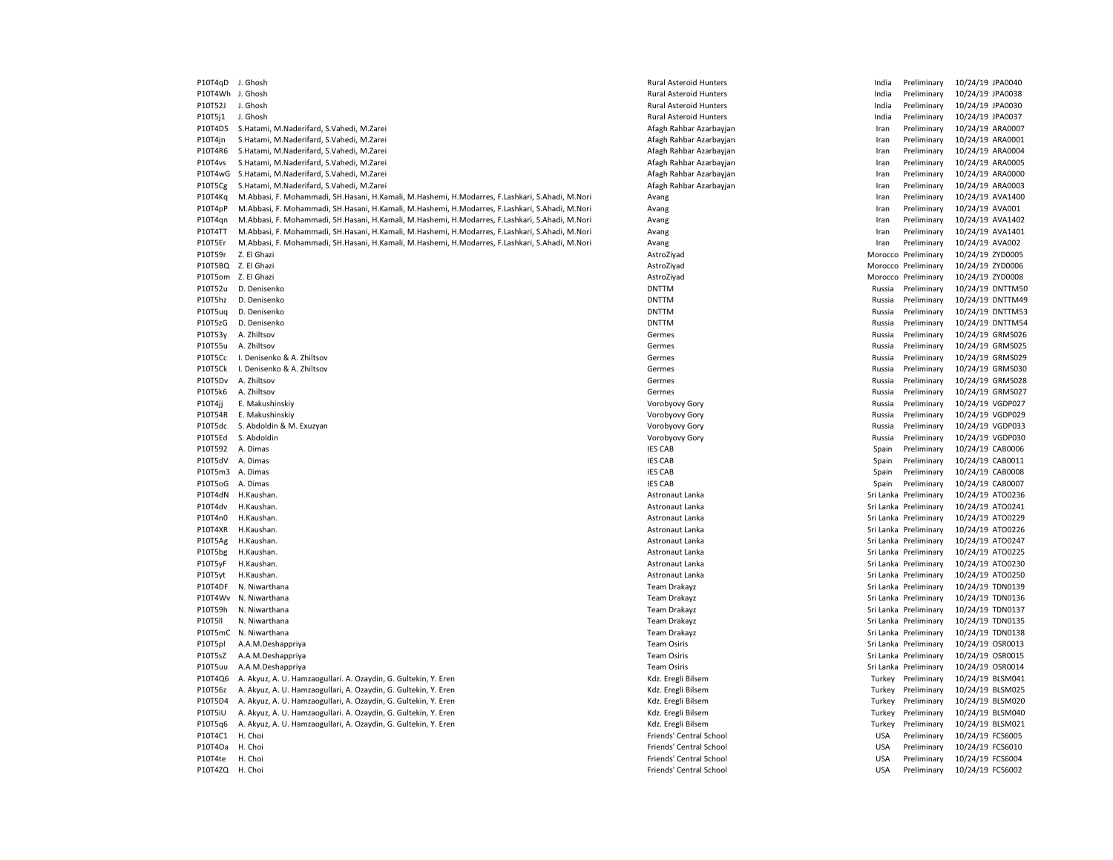| P10T4qD          | J. Ghosh                                                                                        |
|------------------|-------------------------------------------------------------------------------------------------|
| P10T4Wh J. Ghosh |                                                                                                 |
| P10T52J          | J. Ghosh                                                                                        |
| P10T5j1          | J. Ghosh                                                                                        |
| P10T4D5          | S.Hatami, M.Naderifard, S.Vahedi, M.Zarei                                                       |
| P10T4jn          | S.Hatami, M.Naderifard, S.Vahedi, M.Zarei                                                       |
| P10T4R6          | S.Hatami, M.Naderifard, S.Vahedi, M.Zarei                                                       |
| P10T4vs          | S.Hatami, M.Naderifard, S.Vahedi, M.Zarei                                                       |
| P10T4wG          | S.Hatami, M.Naderifard, S.Vahedi, M.Zarei                                                       |
|                  | S.Hatami, M.Naderifard, S.Vahedi, M.Zarei                                                       |
| P10T5Cg          |                                                                                                 |
| P10T4Kq          | M.Abbasi, F. Mohammadi, SH.Hasani, H.Kamali, M.Hashemi, H.Modarres, F.Lashkari, S.Ahadi, M.Nori |
| P10T4pP          | M.Abbasi, F. Mohammadi, SH.Hasani, H.Kamali, M.Hashemi, H.Modarres, F.Lashkari, S.Ahadi, M.Nori |
| P10T4qn          | M.Abbasi, F. Mohammadi, SH.Hasani, H.Kamali, M.Hashemi, H.Modarres, F.Lashkari, S.Ahadi, M.Nori |
| P10T4TT          | M.Abbasi, F. Mohammadi, SH.Hasani, H.Kamali, M.Hashemi, H.Modarres, F.Lashkari, S.Ahadi, M.Nori |
| P10T5Er          | M.Abbasi, F. Mohammadi, SH.Hasani, H.Kamali, M.Hashemi, H.Modarres, F.Lashkari, S.Ahadi, M.Nori |
| P10T59r          | Z. El Ghazi                                                                                     |
|                  | P10T5BQ Z. El Ghazi                                                                             |
|                  | P10T5om Z. El Ghazi                                                                             |
| P10T52u          | D. Denisenko                                                                                    |
| P10T5hz          | D. Denisenko                                                                                    |
| P10T5uq          | D. Denisenko                                                                                    |
| P10T5zG          | D. Denisenko                                                                                    |
| P10T53y          | A. Zhiltsov                                                                                     |
| P10T55u          | A. Zhiltsov                                                                                     |
| P10T5Cc          | I. Denisenko & A. Zhiltsov                                                                      |
| P10T5Ck          | I. Denisenko & A. Zhiltsov                                                                      |
| P10T5Dv          | A. Zhiltsov                                                                                     |
| P10T5k6          | A. Zhiltsov                                                                                     |
| P10T4jj          | E. Makushinskiy                                                                                 |
| P10T54R          | E. Makushinskiy                                                                                 |
| P10T5dc          | S. Abdoldin & M. Exuzyan                                                                        |
| P10T5Ed          | S. Abdoldin                                                                                     |
| P10T592          | A. Dimas                                                                                        |
| P10T5dV          | A. Dimas                                                                                        |
| P10T5m3          | A. Dimas                                                                                        |
| P10T5oG          | A. Dimas                                                                                        |
| P10T4dN          | H.Kaushan.                                                                                      |
| P10T4dv          | H.Kaushan.                                                                                      |
| P10T4n0          | H.Kaushan.                                                                                      |
| P10T4XR          | H.Kaushan.                                                                                      |
| P10T5Ag          | H.Kaushan.                                                                                      |
| P10T5bg          | H.Kaushan.                                                                                      |
| P10T5yF          | H.Kaushan.                                                                                      |
| P10T5yt          | H.Kaushan.                                                                                      |
| P10T4DF          | N. Niwarthana                                                                                   |
| P10T4Wv          | N. Niwarthana                                                                                   |
| P10T59h          | N. Niwarthana                                                                                   |
| P10T5II          | N. Niwarthana                                                                                   |
|                  |                                                                                                 |
| P10T5mC          | N. Niwarthana                                                                                   |
| P10T5pl          | A.A.M.Deshappriya                                                                               |
| P10T5sZ          | A.A.M.Deshappriya                                                                               |
| P10T5uu          | A.A.M.Deshappriya                                                                               |
| P10T4Q6          | A. Akyuz, A. U. Hamzaogullari. A. Ozaydin, G. Gultekin, Y. Eren                                 |
| P10T56z          | A. Akyuz, A. U. Hamzaogullari, A. Ozaydin, G. Gultekin, Y. Eren                                 |
| P10T5D4          | A. Akyuz, A. U. Hamzaogullari, A. Ozaydin, G. Gultekin, Y. Eren                                 |
| P10T5iU          | A. Akyuz, A. U. Hamzaogullari. A. Ozaydin, G. Gultekin, Y. Eren                                 |
| P10T5q6          | A. Akyuz, A. U. Hamzaogullari, A. Ozaydin, G. Gultekin, Y. Eren                                 |
| P10T4C1          | H. Choi                                                                                         |
| P10T4Oa          | H. Choi                                                                                         |
| P10T4te          | H. Choi                                                                                         |
| P10T4ZQ          | H. Choi                                                                                         |

Philom Black Rural Asteroid Hunters **India Preliminary 10/24/19 JPA0040** 

Philom Black Rural Asteroid Hunters **India Preliminary 10/24/19 JPA0038** Paral Asteroid Hunters and The Library 10th Rural Asteroid Hunters India Preliminary 10/24/19 JPA0030 P10T5j1 J. Ghosh Rural Asteroid Hunters India Preliminary 10/24/19 JPA0037 Afagh Rahbar Azarbayjan **M.N.Naderifary Afagh Rahbar Azarbayjan** Iran Preliminary 10/24/19 ARA0007 Afagh Rahbar Azarbayjan **M.N.Naderifard, S.Vahedi, M.N.Zarei Afagh Afagh Rahbar Azarbayjan Iran Iran Preliminary 10/24/19 ARA0001** P10T4R6 S.Hatami, M.Naderifard, S.Vahedi, M.Zarei Afagh Rahbar Azarbayjan Iran Preliminary 10/24/19 ARA0004 P10T4vs S.Hatami, M.Naderifard, S.Vahedi, M.Zarei Afagh Rahbar Azarbayjan Iran Preliminary 10/24/19 ARA0005 P10T4wG S.Hatami, M.Naderifard, S.Vahedi, M.Zarei Afagh Rahbar Azarbayjan Iran Preliminary 10/24/19 ARA0000 Afagh Rahbar Azarbayjan **M.N.Naderifard, S.Vahedi, M.N.Zarei Afagh Afagh Afagh Afagh Arabar Azarbay**jan Iran Preliminary 10/24/19 ARA0003 Philam Madison M.Abbasi, F. Mohammadi, S.A.Hashemi, H.A.Hashkari, S.A.Hashkari, M.Hashemi, S.A.Hashkari, S.A.H Philamphadi, F. Mohammadi, S.A.Hashemi, S.A.Hashemi, S.A.Hashkari, S.A.Hashemi, M.Hashemi, S.A.Hashkari, S.A.H Philadelphia, F. Mohammadi, S.A.Hashemi, H.A.Hashemi, H.A.Hashemi, H.A.Hashemi, H.A.Hashemi, S.A.Hashemi, S.A. Philam M.Abbasi, F. Mohammadi, S.A.Hashemi, H.A.Hashemi, H.A.Hashkari, S.A.Hashemi, T.A.Hashemi, S.A.Hashemi, S.A.Hashemi, S.A.Hashemi, S.A.Hashemi, S.A.Hashemi, S.A.Hashemi, S.A.Hashemi, S.A.Hashemi, S.A.Hashemi, S.A.Hash Philammadi, F. Mohammadi, F. Mohammadi, P. Mohammadi, P. Mohammadi, M.A.Hashkari, S.A.Hashkari, S.A.Hashkari, S.A.Hashkari, S.A.Hashkari, S.A.Hashkari, S.A.Hashkari, S.A.Hashkari, S.A.Hashkari, S.A.Hashkari, S.A.Hashkari, AstroZiyad **P10T59r 2. El Contracto AstroZiyad** Morocco Preliminary 10/24/19 ZYD0005 AstroZiyad **P10T5BQ 2. El Ghazi AstroZiyad** Morocco Preliminary 10/24/19 ZYD0006 AstroZiyad **P10T5om Z. El Ghazi AstroZiyad** Morocco Preliminary 10/24/19 ZYD0008 P210T12U DNTTM DNTTM Russia Preliminary 10/24/19 DNTTM50 P210T1. DNTTM DNTTM DNTTM Russia Preliminary 10/24/19 DNTTM49 PHITTM DNTTM DNTTM DNTTM53 DNTTM DNTTM DENISER DENISIA PRELIMINATION DENISIA PREliminary 10/24/19 DNTTM54 Germes **Contact Contact Contact Contact Contact Contact Contact Contact Contact Contact Contact Contact Contact Contact Contact Contact Contact Contact Contact Contact Contact Contact Contact Contact Contact Contact Contac** Germes **Contact A. International Contact A. Children** Russia Preliminary 10/24/19 GRMS025 P10T5Cc I. Denisenko & A. Zhiltsov Germes Russia Preliminary 10/24/19 GRMS029 P210T6Ck I. Denise Branch Christian Bussia Preliminary 10/24/19 GRMS030 Germes **Contact A. Children Contact A. Children** Russia Preliminary 10/24/19 GRMS028 P10T5k6 A. Zhiltsov Germes Russia Preliminary 10/24/19 GRMS027 P10T4jj E. Makushinskiy Vorobyovy Gory Russia Preliminary 10/24/19 VGDP027 P10T54R E. Makushinskiy Vorobyovy Gory Russia Preliminary 10/24/19 VGDP029 Vorobyovy Gory **Philodina Abdoldin & M. Expanding S. Abdoldin & Russia** Preliminary 10/24/19 VGDP033 P10T5Ed S. Abdoldin Vorobyovy Gory Russia Preliminary 10/24/19 VGDP030 P20T112 A. Dimas IES CAB Spain Preliminary 10/24/19 CAB0006 P20T10CAB Spain Preliminary 10/24/19 CAB0011 IES CAB **Participal CAB** Spain Preliminary 10/24/19 CAB0008 IES CAB Spain Preliminary 10/24/19 CAB0007 Astronaut Lanka **Participate State Controller State Controller State State State State Controller State Controller** Philometrical Lanka Sri Lanka Preliminary 10/24/19 ATO0241 Astronaut Lanka **Participate State Control Control** Sri Lanka Preliminary 10/24/19 ATO0229 Astronaut Lanka **Philometra Community** Sri Lanka Preliminary 10/24/19 ATO0226 Astronaut Lanka **Participate State Control** Sri Lanka Preliminary 10/24/19 ATO0247 Philometric Lanka Sri Lanka Preliminary 10/24/19 ATO0225 Astronaut Lanka **P10T5yF H.Kaushan. Astronaut Lanka** Sri Lanka Preliminary 10/24/19 ATO0230 Astronaut Lanka **P10T5yt Handels Astronaut Lanka** Sri Lanka Preliminary 10/24/19 ATO0250 Team Drakayz **Philode 20th Care Accepts A. Night A. Air Strigger A. Air Sri Lanka Preliminary 10/24/19 TDN0139** Team Drakayz **N. Niwarthana Team Drakayz** Sri Lanka Preliminary 10/24/19 TDN0136 Philom Drakayz **Philom Native A. Niwarthana Team Drakayz** Sri Lanka Preliminary 10/24/19 TDN0137 Philom Drakayz **Philom Communist Communist Communist Communist Communist Communist Communist Communist Communist Communist Communist Communist Communist Communist Communist Communist Communist Communist Communist Communist** P10T5mC N. Niwarthana Team Drakayz Sri Lanka Preliminary 10/24/19 TDN0138 Philod B.A. M.A.M.Deshipped A.A.M.Deshipped A.A.M.Deshipped A.A.M.Deshipped A.A.M.Deshipped A.A.M.Deshipped A. Philode Team Osiris **Ca.A.** Campion Sri Lanka Preliminary 10/24/19 OSR0015 Philod Team Osiris **P10T5uu A.A.M.Deshappriya Team Osiris Sri Lanka Preliminary 10/24/19 OSR0014** P10T4Q6 A. Akyuz, A. U. Hamzaogullari. A. Ozaydin, G. Gultekin, Y. Eren Kdz. Eregli Bilsem Turkey Preliminary 10/24/19 BLSM041 P10T56z A. Akyuz, A. U. Hamzaogullari, A. Ozaydin, G. Gultekin, Y. Eren Kdz. Eregli Bilsem Turkey Preliminary 10/24/19 BLSM025 P10T5D4 A. Akyuz, A. U. Hamzaogullari, A. Ozaydin, G. Gultekin, Y. Eren Kdz. Eregli Bilsem Turkey Preliminary 10/24/19 BLSM020 Rdz. Eregli Bilsem a. Caren Later Caren Caren Caren Caren Turkey Preliminary 10/24/19 BLSM040 P10T5q6 A. Akyuz, A. U. Hamzaogullari, A. Ozaydin, G. Gultekin, Y. Eren Kdz. Eregli Bilsem Turkey Preliminary 10/24/19 BLSM021 Priends' Central School **Friends'** Central School **Friends' Central School School ECS6005** Priends' Central School **Friends'** Central School **N. Choice Communist Communist Communist Communist Communist Communist Communist Communist Communist Communist Communist Communist Communist Communist Communist Communist C** Post Herical School Choice H. Choice H. Choice H. Choice H. Choice H. Choice H. Choice H. Choice H. Choice H. Choice H. Choice H. Choice H. Choice H. Choice H. Choice H. Choice H. Choice H. Choice H. Choice H. Choice H. Ch Priends' Central School 2002 10T4 May 2004 10th USA Preliminary 20/24/19 FCS6002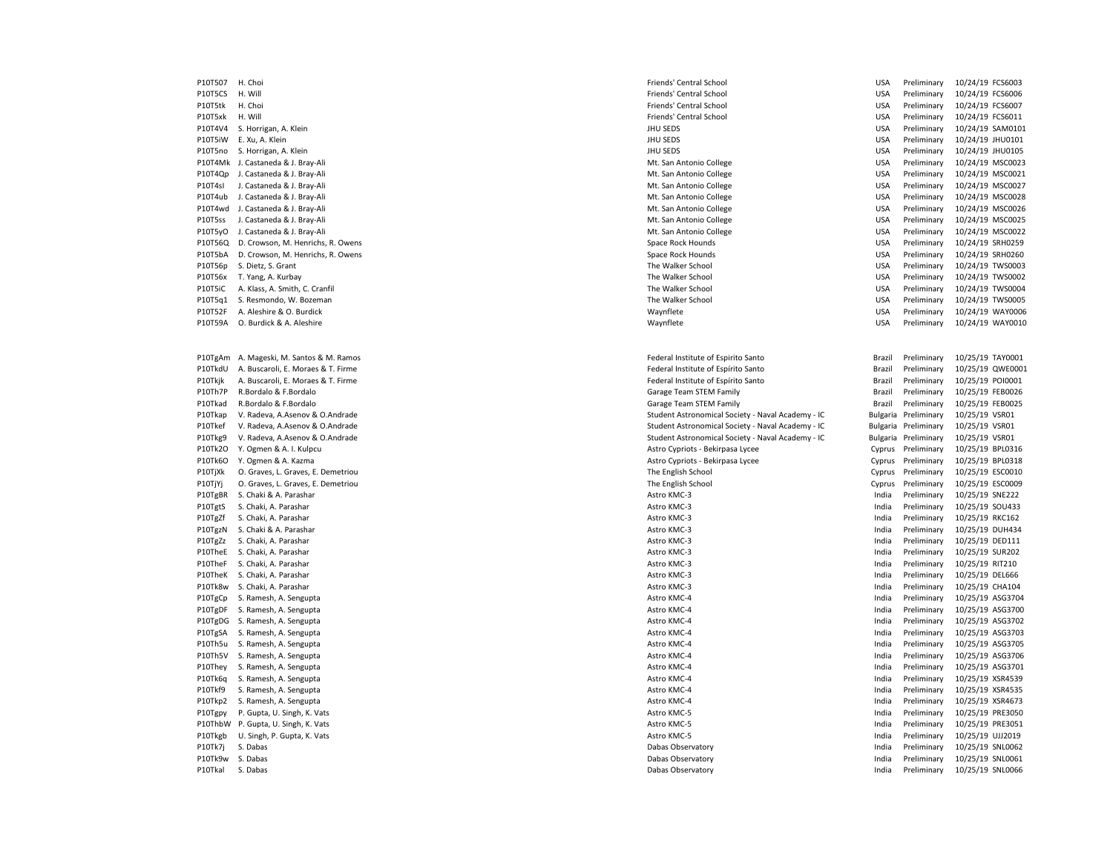P10T507 H. Choi **Friends' Central School Friends' Central School** USA Preliminary 10/24/19 FCS6003 P10T5CS H. Will **Friends' Central School** Friends' Central School **Friends' Central School** USA Preliminary 10/24/19 FCS6006 P10T5tk H. Choi **Friends' Central School Friends' Central School** USA Preliminary 10/24/19 FCS6007 P10T5xk H. Will **Friends' Central School** Friends' Central School **Friends' Central School USA Preliminary 10/24/19 FCS6011** P10T4V4 S. Horrigan, A. Klein No. 2012 19:30 No. 2012 11:30 No. 2012 11:30 No. 2013 11:30 No. 2013 11:30 No. 2013 11:30 No. 2013 11:30 No. 2013 11:30 No. 2013 11:30 No. 2013 11:30 No. 2013 11:30 No. 2013 11:30 No. 2013 12: P10T5iW E. Xu, A. Klein 20/24/19 JHU0101 NUGLE 2012 ALL 2013 NUGLE 2013 AND SEDS USA Preliminary 10/24/19 JHU0101 P10T5no S. Horrigan, A. Klein JHU SEDS USA Preliminary 10/24/19 JHU0105 P10T4Mk J. Castaneda & J. Bray-Ali **Material College** Mt. San Antonio College College USA Preliminary 10/24/19 MSC0023 P10T4Qp J. Castaneda & J. Bray-Ali **Materia and Antionio College** Mt. San Antonio College USA Preliminary 10/24/19 MSC0021 P10T4sI J. Castaneda & J. Bray-Ali **Materia and Anti-Accepts and Anti-Accepts** Material College Material DSA Preliminary 10/24/19 MSC0027 P10T4ub J. Castaneda & J. Bray-Ali **Materia and Anti-America** College Mt. San Antonio College USA Preliminary 10/24/19 MSC0028 P10T4wd J. Castaneda & J. Bray-Ali **Magnetic College** Mt. San Antonio College College USA Preliminary 10/24/19 MSC0026 P10T5ss J. Castaneda & J. Bray-Ali **Magnetic College** Mt. San Antonio College College USA Preliminary 10/24/19 MSC0025 P10T5yO J. Castaneda & J. Bray-Ali **Magnetic and Strategies and Strategies** Mt. San Antonio College Mt. San Antonio College USA Preliminary 10/24/19 MSC0022 P10T56Q D. Crowson, M. Henrichs, R. Owens Space Rock Hounds Space Rock Hounds Space Rock Hounds USA Preliminary 10/24/19 SRH0259 P10T5bA D. Crowson, M. Henrichs, R. Owens Space Rock Hounds Space Rock Hounds Space Rock Hounds USA Preliminary 10/24/19 SRH0260 P10T56p S. Dietz, S. Grant The Walker School USA Preliminary 10/24/19 TWS0003 P10T56x T. Yang, A. Kurbay The Walker School The Walker School The Walker School Changer and The Walker School USA Preliminary 10/24/19 TWS0002 P10T5iC A. Klass, A. Smith, C. Cranfil Samuel Mater School The Walker School The Walker School Communications and Mater School USA Preliminary 10/24/19 TWS0004 P10T5q1 S. Resmondo, W. Bozeman Material Company of the Walker School The Walker School The Walker School Company 10/24/19 TWS0005 P10T52F A. Aleshire & O. Burdick Waynout Communication of the USA Preliminary 10/24/19 WAY0006 P10T59A O. Burdick & A. Aleshire examples the Maynes of the Maynes of Maynes of Maynes and Maynes of Maynes of Maynes of Maynes and Maynes of Maynes of Maynes of Maynes and Maynes of Maynes of Maynes and Maynes of Maynes o P10TgAm A. Mageski, M. Santos & M. Ramos Federal Institute of Espirito Santo Brazil Preliminary 10/25/19 TAY0001 P10TkdU A. Buscaroli, E. Moraes & T. Firme Federal Institute of Espírito Santo Federal Institute of Espírito Santo Brazil Preliminary 10/25/19 QWE0001 P10Tkjk A. Buscaroli, E. Moraes & T. Firme Federal Institute of Espírito Santo Federal Institute of Espírito Santo Federal Institute of Espírito Santo Brazil Preliminary 10/25/19 POI0001 P10Th7P R.Bordalo & F.Bordalo Charage Team STEM Family Carage Team STEM Family Carage Team STEM Family Brazil Preliminary 10/25/19 FEB0026 P10Tkad R.Bordalo & F.Bordalo **Garage Team STEM Family Garage Team STEM Family Brazil Preliminary 10/25/19 FEB0025** P10Tkap V. Radeva, A.Asenov & O.Andrade Student Astronomical Society - Naval Academy - IC Bulgaria Preliminary 10/25/19 VSR01 P10Tkef V. Radeva, A.Asenov & O.Andrade Student Astronomical Society - Naval Academy - IC Bulgaria Preliminary 10/25/19 VSR01 P10Tkg9 V. Radeva, A.Asenov & O.Andrade Student Astronomical Society - Naval Academy - IC Bulgaria Preliminary 10/25/19 VSR01 P10Tk2O Y. Ogmen & A. I. Kulpcu **Astro Cypriots - Bekirpasa Lycee** Cypriots - Bekirpasa Lycee Cyprus Preliminary 10/25/19 BPL0316 P10Tk6O Y. Ogmen & A. Kazma <br>
Patro Cyprus Preliminary 10/25/19 BPL0318 P10TjXk O. Graves, L. Graves, E. Demetriou entropy and the English School The English School The English School Cyprus Preliminary 10/25/19 ESC0010 P10TjYj O. Graves, L. Graves, E. Demetriou entropy and the English School The English School The English School Cyprus Preliminary 10/25/19 ESC0009 P10TgBR S. Chaki & A. Parashar November 2022 2012 10:00 Astro KMC-3 Astro KMC-3 India Preliminary 10/25/19 SNE222 P10TgtS S. Chaki, A. Parashar National Astro KMC-3 Astro KMC-3 Astro KMC-3 India Preliminary 10/25/19 SOU433 P10TgZf S. Chaki, A. Parashar 20/25/19 RKC162 India Preliminary 10/25/19 RKC162 P10TgzN S. Chaki & A. Parashar examples and the state of the State of Astro KMC-3 and the State of The State of the State Astro KMC-3 and the Preliminary 10/25/19 DUH434 P10TgZz S. Chaki, A. Parashar 20/25/19 DED111 P10TgZz S. Chaki, A. Parashar Astro KMC-3 Preliminary 10/25/19 DED111 P10TheE S. Chaki, A. Parashar Astro KMC-3 India Preliminary 10/25/19 SUR202 P10TheF S. Chaki, A. Parashar **Astro KMC-3** Astro KMC-3 Astro KMC-3 **India Preliminary 10/25/19 RIT210** P10TheK S. Chaki, A. Parashar **Astro KMC-3** Astro KMC-3 Astro KMC-3 **India Preliminary 10/25/19 DEL666** P10Tk8w S. Chaki, A. Parashar National Astro KMC-3 Astro KMC-3 Astro KMC-3 India Preliminary 10/25/19 CHA104 P10TgCp S. Ramesh, A. Sengupta Astro KMC-4 Astro KMC-4 Astro KMC-4 India Preliminary 10/25/19 ASG3704 P10TgDF S. Ramesh, A. Sengupta **Assume Astro KMC-4** Astro KMC-4 Astro KMC-4 **India Preliminary 10/25/19 ASG3700** P10TgDG S. Ramesh, A. Sengupta **Assume Astro KMC-4** Astro KMC-4 Astro KMC-4 **India Preliminary 10/25/19 ASG3702** P10TgSA S. Ramesh, A. Sengupta **Assemble Assemble Astro KMC-4** Astro KMC-4 Astro KMC-4 **India Preliminary 10/25/19 ASG3703** P10Th5u S. Ramesh, A. Sengupta Astro Astro Kong and a strong and a strong and a strong and a strong and a strong method of the senate and a strong and a strong and a strong and a strong method of the strong and a strong an P10Th5V S. Ramesh, A. Sengupta Astro Astro KMC-4 Astro KMC-4 Astro KMC-4 Astro KMC-4 India Preliminary 10/25/19 ASG3706 P10They S. Ramesh, A. Sengupta **Astro Astro Astro Astro KMC-4** Astro KMC-4 **Astro KMC-4 P10They S. Ramesh, A. Sengupta** AsG3701 P10Tk6q S. Ramesh, A. Sengupta **Astro Astro Astro Astro KMC-4** Astro KMC-4 **Astro KMC-4 Parameters** and a preliminary 10/25/19 XSR4539 P10Tkf9 S. Ramesh, A. Sengupta Astro KMC-4 Astro KMC-4 Astro KMC-4 India Preliminary 10/25/19 XSR4535 P10Tkp2 S. Ramesh, A. Sengupta Astro KMC-4 Astro KMC-4 Astro KMC-4 India Preliminary 10/25/19 XSR4673 P10Tgpy P. Gupta, U. Singh, K. Vats **Astro Astro Astro KMC-5** Astro KMC-5 **India Preliminary 10/25/19 PRE3050** P10ThbW P. Gupta, U. Singh, K. Vats **Astro Astro Astro KMC-5** Astro KMC-5 **India Preliminary 10/25/19 PRE3051** P10Tkgb U. Singh, P. Gupta, K. Vats Natural Astro Kongress of the Capital Astro KMC-5 and the Changes of the Changes of the Changes of the Changes of the Changes of the Changes of the Changes of the Changes of the Changes P10Tk7j S. Dabas Dabas Observatory India Preliminary 10/25/19 SNL0062 P10Tk9w S. Dabas Dabas Dabas Dabas Dabas Observatory and the United States of Preliminary 10/25/19 SNL0061

P10Tkal S. Dabas Dabas Dabas Dabas Observatory Dabas Observatory Dabas Observatory India Preliminary 10/25/19 SNL0066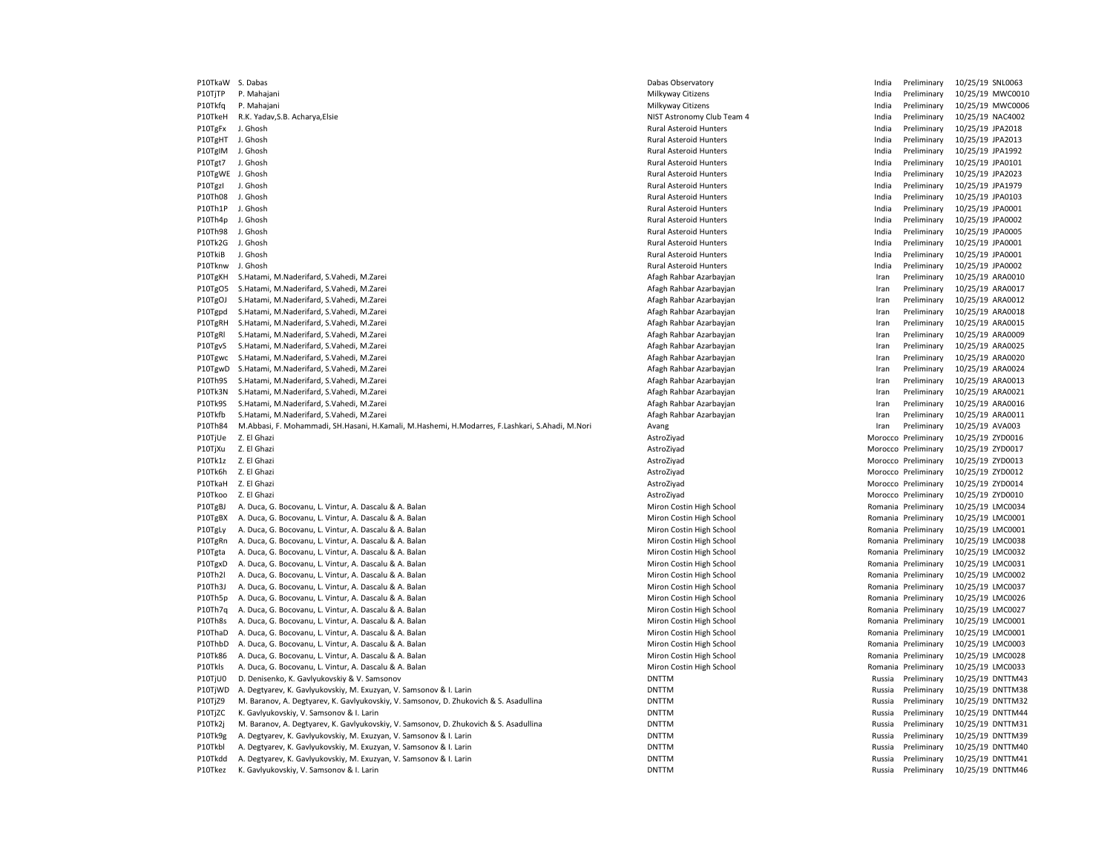P10TkaW S. Dabas Dabas Dabas Dabas Dabas Observatory and the United Structures of the India Preliminary 10/25/19 SNL0063 P10TjTP P. Mahajani 20/25/19 MWC0010 Nilkyway Citizens Milkyway Citizens Milkyway Citizens and the material preliminary 10/25/19 MWC0010 P10Tkfq P. Mahajani 20/25/19 MWC0006 Nilkyway Citizens Milkyway Citizens India Preliminary 10/25/19 MWC0006 P10TkeH R.K. Yadav,S.B. Acharva,Elsie Nacapolis and Nistronomy Club Team 4 India Preliminary 10/25/19 NAC4002 P10TgFx J. Ghosh **Rural Asteroid Hunters** Rural Asteroid Hunters **Rural Asteroid Hunters** India Preliminary 10/25/19 JPA2018 P10TgHT J. Ghosh **Rural Asteroid Hunters** Rural Asteroid Hunters **Rural Asteroid Hunters** India Preliminary 10/25/19 JPA2013 P10TgIM J. Ghosh **Rural Asteroid Hunters** Rural Asteroid Hunters **Rural Asteroid Hunters** and India Preliminary 10/25/19 JPA1992 P10Tgt7 J. Ghosh Rural Asteroid Hunters Rural Asteroid Hunters and The India Preliminary 10/25/19 JPA0101 P10TgWE J. Ghosh **Rural Asteroid Hunters** Rural Asteroid Hunters **Rural Asteroid Hunters** India Preliminary 10/25/19 JPA2023 P10TgzI J. Ghosh **Rural Asteroid Hunters** Rural Asteroid Hunters **Rural Asteroid Hunters** India Preliminary 10/25/19 JPA1979 P10Th08 J. Ghosh Rural Asteroid Hunters Published and Preliminary 10/25/19 JPA0103 P10Th1P J. Ghosh Rural Asteroid Hunters India Preliminary 10/25/19 JPA0001 P10Th4p J. Ghosh Rural Asteroid Hunters India Preliminary 10/25/19 JPA0002 P10Th98 J. Ghosh Rural Asteroid Hunters India Preliminary 10/25/19 JPA0005 P10Tk2G J. Ghosh Rural Asteroid Hunters India Preliminary 10/25/19 JPA0001 P10Tknw J. Ghosh **Rural Asteroid Hunters** Rural Asteroid Hunters **Rural Asteroid Hunters** and a Preliminary 10/25/19 JPA0002 P10TgKH S.Hatami, M.Naderifard, S.Vahedi, M.Zarei **Americi Accepts Afagh Rahbar Azarbayian** Iran Preliminary 10/25/19 ARA0010 P10TgO5 S.Hatami, M.Naderifard, S.Vahedi, M.Zarei **Americi Accessity and Afagh Rahbar Azarbay** Afagh Rahbar Azarbayjan Iran Preliminary 10/25/19 ARA0017 P10TgOJ S.Hatami, M.Naderifard, S.Vahedi, M.Zarei **American Afagh Rahbar Azarbayian** Afagh Rahbar Azarbayjan **Iran Preliminary 10/25/19 ARA0012** P10Tgpd S.Hatami, M.Naderifard, S.Vahedi, M.Zarei National Afagh Rahbar Azarbayian Afagh Rahbar Azarbayian Iran Preliminary 10/25/19 ARA0018 P10TgRH S.Hatami, M.Naderifard, S.Vahedi, M.Zarei **Afagh Rahbar Azarbayian** Afagh Rahbar Azarbayjan **Iran Preliminary 10/25/19 ARA0015** P10TgRl S.Hatami, M.Naderifard, S.Vahedi, M.Zarei **Afagh Rahbar Azarbayian** Afagh Rahbar Azarbayjan **Iran Preliminary 10/25/19 ARA0009** P10TgvS S.Hatami, M.Naderifard, S.Vahedi, M.Zarei Afagh Rahbar Azarbayjan Iran Preliminary 10/25/19 ARA0025 P10Tgwc S.Hatami, M.Naderifard, S.Vahedi, M.Zarei Afagh Rahbar Azarbayjan Iran Preliminary 10/25/19 ARA0020 P10TgwD S.Hatami, M.Naderifard, S.Vahedi, M.Zarei **American Afagh Rahbar Azarbayian** Afagh Rahbar Azarbayjan **Iran Preliminary 10/25/19 ARA0024** P10Th9S S.Hatami, M.Naderifard, S.Vahedi, M.Zarei **Americi Accessity and Afagh Rahbar Azarbayian** Afagh Rahbar Azarbayjan Iran Preliminary 10/25/19 ARA0013 P10Tk3N S.Hatami, M.Naderifard, S.Vahedi, M.Zarei Afagh Rahbar Azarbayjan Iran Preliminary 10/25/19 ARA0021 P10Tk9S S.Hatami, M.Naderifard, S.Vahedi, M.Zarei National Afagh Rahbar Azarbayian Afagh Rahbar Azarbayian Preliminary 10/25/19 ARA0016 P10Tkfb S.Hatami, M.Naderifard, S.Vahedi, M.Zarei **Afagh Rahbar Azarbayian** Afagh Rahbar Azarbayjan **Iran Preliminary 10/25/19 ARA0011** P10Th84 M.Abbasi, F. Mohammadi, SH.Hasani, H.Kamali, M.Hashemi, H.Modarres, F.Lashkari, S.Ahadi, M.Nori Avang Avang Preliminary 10/25/19 AVA003 P10TjUe Z. El Ghazi 20/25/19 ZYD0016 P10TjXu Z. El Ghazi 200017 2YD0017 2WHz and the material material distribution of the Morocco Preliminary 10/25/19 ZYD0017 P10Tk1z Z. El Ghazi 200013 2YD0013 P10Tk6h Z. El Ghazi 200012 2YD0012 2YD0012 2YD0012 2YD0012 AstroZiyad AstroZiyad Morocco Preliminary 10/25/19 ZYD0012 P10TkaH Z. El Ghazi 200014 2000014 2. El Ghazi 2000014 2000014 2. El Ghazi 2000014 P10Tkoo Z. El Ghazi AstroZiyad Morocco Preliminary 10/25/19 ZYD0010 P10TgBJ A. Duca, G. Bocovanu, L. Vintur, A. Dascalu & A. Balan Miron Costin High School Miron Costin High School Romania Preliminary 10/25/19 LMC0034 P10TgBX A. Duca, G. Bocovanu, L. Vintur, A. Dascalu & A. Balan Miron Costin High School Miron Costin High School Romania Preliminary 10/25/19 LMC0001 P10TgLy A. Duca, G. Bocovanu, L. Vintur, A. Dascalu & A. Balan Miron Costin High School Miron Costin High School Romania Preliminary 10/25/19 LMC0001 P10TgRn A. Duca, G. Bocovanu, L. Vintur, A. Dascalu & A. Balan Miron Costin High School Miron Costin High School Romania Preliminary 10/25/19 LMC0038 P10Tgta A. Duca, G. Bocovanu, L. Vintur, A. Dascalu & A. Balan Miron Costin High School Miron Costin High School Romania Preliminary 10/25/19 LMC0032 P10TgxD A. Duca, G. Bocovanu, L. Vintur, A. Dascalu & A. Balan Miron Costin High School Miron Costin High School Romania Preliminary 10/25/19 LMC0031 P10Th2l A. Duca, G. Bocovanu, L. Vintur, A. Dascalu & A. Balan Miron Costin High School Miron Costin High School Romania Preliminary 10/25/19 LMC0002 P10Th3J A. Duca, G. Bocovanu, L. Vintur, A. Dascalu & A. Balan Miron Costin High School Miron Costin High School Romania Preliminary 10/25/19 LMC0037 P10Th5p A. Duca, G. Bocovanu, L. Vintur, A. Dascalu & A. Balan Miron Costin High School Miron Costin High School Romania Preliminary 10/25/19 LMC0026 P10Th7q A. Duca, G. Bocovanu, L. Vintur, A. Dascalu & A. Balan Miron Costin High School Miron Costin High School Romania Preliminary 10/25/19 LMC0027 P10Th8s A. Duca, G. Bocovanu, L. Vintur, A. Dascalu & A. Balan Miron Costin High School Miron Costin High School Romania Preliminary 10/25/19 LMC0001 P10ThaD A. Duca, G. Bocovanu, L. Vintur, A. Dascalu & A. Balan Miron Costin High School Miron Costin High School Romania Preliminary 10/25/19 LMC0001 P10ThbD A. Duca, G. Bocovanu, L. Vintur, A. Dascalu & A. Balan Miron Costin High School Miron Costin High School Romania Preliminary 10/25/19 LMC0003 P10Tk86 A. Duca, G. Bocovanu, L. Vintur, A. Dascalu & A. Balan Miron Costin High School Miron Costin High School Romania Preliminary 10/25/19 LMC0028 P10Tkls A. Duca, G. Bocovanu, L. Vintur, A. Dascalu & A. Balan Miron Costin High School Miron Costin High School Romania Preliminary 10/25/19 LMC0033 P10TjU0 D. Denisenko, K. Gavlyukovskiy & V. Samsonov DNTTM DNTTM DNTTM DNTTM DNTTM DNTTM Russia Preliminary 10/25/19 DNTTM43 P10TjWD A. Degtyarev, K. Gavlyukovskiy, M. Exuzyan, V. Samsonov & I. Larin DNTTM DNTTM DNTTM DNTTM Russia Preliminary 10/25/19 DNTTM38 P10TjZ9 M. Baranov, A. Degtyarev, K. Gavlyukovskiy, V. Samsonov, D. Zhukovich & S. Asadullina DNTTM DNTTM DNTTM DNTTM Russia Preliminary 10/25/19 DNTTM32 P10TjZC K. Gavlyukovskiy, V. Samsonov & I. Larin DNTTM DNTTM DNTTM DNTTM DNTTM DNTTM DNTTM Russia Preliminary 10/25/19 DNTTM44 P10Tk2j M. Baranov, A. Degtyarev, K. Gavlyukovskiy, V. Samsonov, D. Zhukovich & S. Asadullina DNTTM DNTTM DNTTM DNTTM Russia Preliminary 10/25/19 DNTTM31 P10Tk9g A. Degtyarev, K. Gavlyukovskiy, M. Exuzyan, V. Samsonov & I. Larin DNTTM DNTTM DNTTM DNTTM DNTTM Russia Preliminary 10/25/19 DNTTM39 P10Tkbl A. Degtyarev, K. Gavlyukovskiy, M. Exuzyan, V. Samsonov & I. Larin DNTTM DNTTM DNTTM DNTTM DNTTM Russia Preliminary 10/25/19 DNTTM40 P10Tkdd A. Degtyarev, K. Gavlyukovskiy, M. Exuzyan, V. Samsonov & I. Larin DNTTM DNTTM DNTTM DNTTM Russia Preliminary 10/25/19 DNTTM41 P10Tkez K. Gavlyukovskiy, V. Samsonov & I. Larin **DNTTM Russia Preliminary 10/25/19 DNTTM46** 

Philometer and Hunters and The United States India Preliminary 10/25/19 JPA0001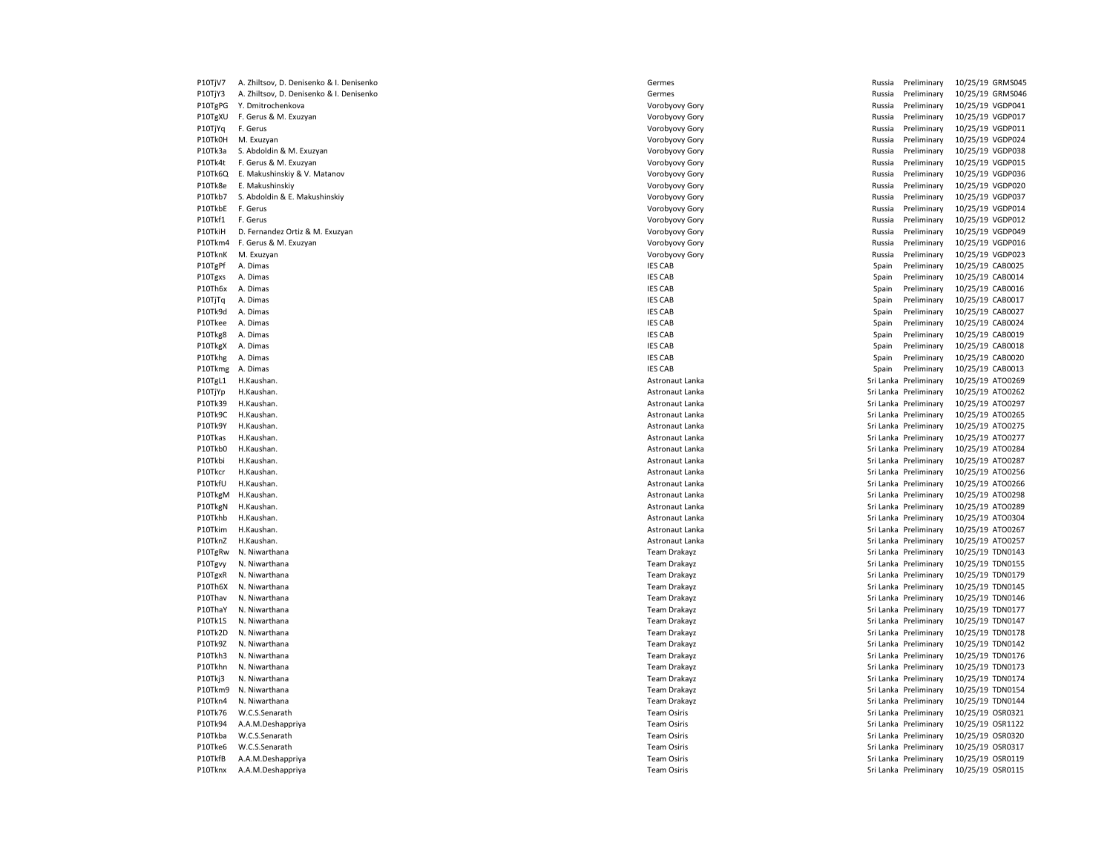P10TjV7 A. Zhiltsov, D. Denisenko & I. Denisenko Germes Germes Germes Germes Russia Preliminary 10/25/19 GRMS045

P10TjY3 A. Zhiltsov, D. Denisenko & I. Denisenko Germes Germes Germes Germes Russia Preliminary 10/25/19 GRMS046 P10TgPG Y. Dmitrochenkova entertainment of the state of the Vorobyovy Gory of the Construction of the Nussia Preliminary 10/25/19 VGDP041 P10TgXU F. Gerus & M. Exuzyan external particles and the More of the Vorobyovy Gory of the Music Preliminary 10/25/19 VGDP017 P10TjYq F. Gerus external provided a control of the Vorobyovy Gory of the Control of Russia Preliminary 10/25/19 VGDP011 P10Tk0H M. Exuzyan 20/25/19 VGDP024 P10Tk0H M. Exuzyan 20/25/19 VGDP024 P10Tk3a S. Abdoldin & M. Exuzyan North Material Abdoldin & M. Exuzyan Vorobyovy Gory Norobyovy Gory Norobyovy Gory Russia Preliminary 10/25/19 VGDP038 P10Tk4t F. Gerus & M. Exuzyan external particles and the Magnus Corobyovy Gory Corobyovy Gory Russia Preliminary 10/25/19 VGDP015 P10Tk6Q E. Makushinskiy & V. Matanov North Matanov Communication of the Vorobyovy Gory Vorobyovy Gory Nussia Preliminary 10/25/19 VGDP036 P10Tk8e E. Makushinskiy Makushinskiy Vorobyovy Gory Vorobyovy Gory Makushinskiy Russia Preliminary 10/25/19 VGDP020 P10Tkb7 S. Abdoldin & E. Makushinskiy World Machushin States and Development of Machushin Vorobyovy Gory Number 2007 (Number 20/25/19 VGDP037 P10TkbE F. Gerus external provides that the voroby voroby a very very very very and the series of the reliminary  $\sim$  10/25/19 VGDP014 P10Tkf1 F. Gerus entertainment of the United States of Australian Coronavity of Coronavity Coronavity Coronavity Coronavity Coronavity Coronavity Coronavity Coronavity Coronavity Coronavity Coronavity Coronavity Coronavity P10TkiH D. Fernandez Ortiz & M. Exuzyan North Alberta and States and Alberta States and Alberta Preliminary 10/25/19 VGDP049 P10Tkm4 F. Gerus & M. Exuzyan November 2012 10/25/19 VGDP016 Corps and More Vorobyovy Gory Corps and More Preliminary 10/25/19 VGDP016 P10TknK M. Exuzyan Norobyovy Gory Norobyovy Gory Norobyovy Gory Russia Preliminary 10/25/19 VGDP023 P10TgPf A. Dimas **IES CAB** Spain Preliminary 10/25/19 CAB0025 P10Tgxs A. Dimas **IES CAB** Spain Preliminary 10/25/19 CAB0014 P10Th6x A. Dimas **IES CAB** Spain Preliminary 10/25/19 CAB0016 P10TjTq A. Dimas extendion that the spain Preliminary 10/25/19 CAB0017 (Spain Preliminary 10/25/19 CAB0017 P10Tk9d A. Dimas IES CAB Spain Preliminary 10/25/19 CAB0027 P10Tkee A. Dimas **IES CAB Spain Preliminary 10/25/19 CAB0024** IES CAB Spain Preliminary 10/25/19 CAB0024 P10Tkg8 A. Dimas 20/25/19 CAB0019 POT CABOO19 CABOO19 IES CAB Spain Preliminary 10/25/19 CAB0019 P10TkgX A. Dimas **IES CAB** Spain Preliminary 10/25/19 CAB0018 P10Tkhg A. Dimas **IES CAB** Spain Preliminary 10/25/19 CAB0020 P10Tkmg A. Dimas **IES CAB** Spain Preliminary 10/25/19 CAB0013 P10TgL1 H.Kaushan. 20/25/19 ATO0269 November 2012 12:30 Astronaut Lanka Sri Lanka Sri Lanka Preliminary 10/25/19 ATO0269 P10TjYp H.Kaushan. 20/25/19 ATO0262 P10TjYp H.Kaushan. Astronaut Lanka Sri Lanka Preliminary 10/25/19 ATO0262 P10Tk39 H.Kaushan. 20/25/19 ATO0297 Nastronaut Lanka Astronaut Lanka Sri Lanka Sri Lanka Preliminary 10/25/19 ATO0297 P10Tk9C H.Kaushan. 20/25/19 ATO0265 November 2012 12:30 Astronaut Lanka Astronaut Lanka Sri Lanka Preliminary 10/25/19 ATO0265 P10Tk9Y H.Kaushan. 20/25/19 ATO0275 P10Tk9Y H.Kaushan. Astronaut Lanka Sri Lanka Preliminary 10/25/19 ATO0275 P10Tkas H.Kaushan. 2025/19 ATO0277 P10Tkas H.Kaushan. Astronaut Lanka Sri Lanka Preliminary 10/25/19 ATO0277 P10Tkb0 H.Kaushan. 20/25/19 ATO0284 National Lanka Astronaut Lanka Sri Lanka Sri Lanka Preliminary 10/25/19 ATO0284<br>P10Tkbi H.Kaushan. 2007/19 ATO0287 National Lanka Astronaut Lanka Sri Lanka Sri Lanka Preliminary 10/25/19 Philometrical Astronaut Lanka Sri Lanka Preliminary 10/25/19 ATO0287 P10Tkcr H.Kaushan. 20/25/19 ATO0256 P10Tkcr H.Kaushan. Astronaut Lanka Sri Lanka Preliminary 10/25/19 ATO0256 P10TkfU H.Kaushan. 2025/19 ATO0266 P10TkfU H.Kaushan. Astronaut Lanka Sri Lanka Preliminary 10/25/19 ATO0266 P10TkgM H.Kaushan. 20/25/19 ATO0298 (Stronaut Lanka Astronaut Lanka Sri Lanka Preliminary 10/25/19 ATO0298 P10TkgN H.Kaushan. 20/25/19 ATO0289 November 2012 and Astronaut Lanka Sri Lanka Sri Lanka Preliminary 10/25/19 ATO0289 P10Tkhb H.Kaushan. 20/25/19 ATO0304 November 2012 and 2012 and 2012 and 2013 and 2014 and 2014 and 20:00:00 P10Tkhb H.Kaushan. P10Tkim H.Kaushan. 2025/19 ATO0267 Philosophy and the stronaut Lanka Sri Lanka Sri Lanka Preliminary 10/25/19 ATO0267 P10TknZ H.Kaushan. 2025/19 ATO0257 Nastronaut Lanka Sri Lanka Sri Lanka Preliminary 10/25/19 ATO0257 P10TgRw N. Niwarthana 2021 1978 10/25/19 TDN0143 P10Tgvy N. Niwarthana 2002/19 TDN0155 2012 10 10155 2012 10:00 10:00 Team Drakayz Sri Lanka Preliminary 10/25/19 TDN0155 P10TgxR N. Niwarthana 2002/19 Town 10/25/19 Town 10/25/19 Town 10/25/19 Town 10/25/19 Town 10/25/19 TDN0179 P10Th6X N. Niwarthana 2002/19 TDN0145 November 2003/19 Team Drakayz Team Drakayz Sri Lanka Preliminary 10/25/19 TDN0145 P10Thav N. Niwarthana Samus and Sri Lanka Preliminary 10/25/19 TDN0146 P10ThaY N. Niwarthana 20/25/19 TDN0177 Cam Drakayz Team Drakayz Team Drakayz Sri Lanka Preliminary 10/25/19 TDN0177 P10Tk1S N. Niwarthana 20/25/19 TDN0147 Ceam Drakayz Team Drakayz Team Drakayz Sri Lanka Preliminary 10/25/19 TDN0147 P10Tk2D N. Niwarthana **Team Drakayz** Team Drakayz Sri Lanka Preliminary 10/25/19 TDN0178 P10Tk9Z N. Niwarthana **Team Drakayz** Team Drakayz Sri Lanka Preliminary 10/25/19 TDN0142 P10Tkh3 N. Niwarthana 2002/19 Team Drakayz Team Drakayz Sri Lanka Preliminary 10/25/19 TDN0176 P10Tkhn N. Niwarthana Team Drakayz Sri Lanka Preliminary 10/25/19 TDN0173 P10Tkj3 N. Niwarthana 2002/19 TDN0174 November 2003/19 Team Drakayz Team Drakayz Sri Lanka Preliminary 10/25/19 TDN0174 P10Tkm9 N. Niwarthana **Team Drakayz** Team Drakayz Sri Lanka Preliminary 10/25/19 TDN0154 P10Tkn4 N. Niwarthana **Team Drakayz** Team Drakayz Sri Lanka Preliminary 10/25/19 TDN0144 P10Tk76 W.C.S.Senarath Team Osiris Sri Lanka Preliminary 10/25/19 OSR0321 P10Tk94 A.A.M.Deshappriya **Team Ositis Sri Lanka Preliminary 10/25/19 OSR1122** Team Osiris Sri Lanka Preliminary 10/25/19 OSR1122 P10Tkba W.C.S.Senarath Team Osiris Sri Lanka Preliminary 10/25/19 OSR0320 P10Tke6 W.C.S.Senarath **Team Ositis Sri Lanka Preliminary 10/25/19 OSR0317** Team Osiris Team Osiris Sri Lanka Preliminary 10/25/19 OSR0317 P10TkfB A.A.M.Deshappriya **Team Ositis Sri Lanka Preliminary 10/25/19 OSR0119** Team Osiris Team Osiris Sri Lanka Preliminary 10/25/19 OSR0119 P10Tknx A.A.M.Deshappriya **Team Ositis** Team Osiris Team Osiris Team Osiris Sri Lanka Preliminary 10/25/19 OSR0115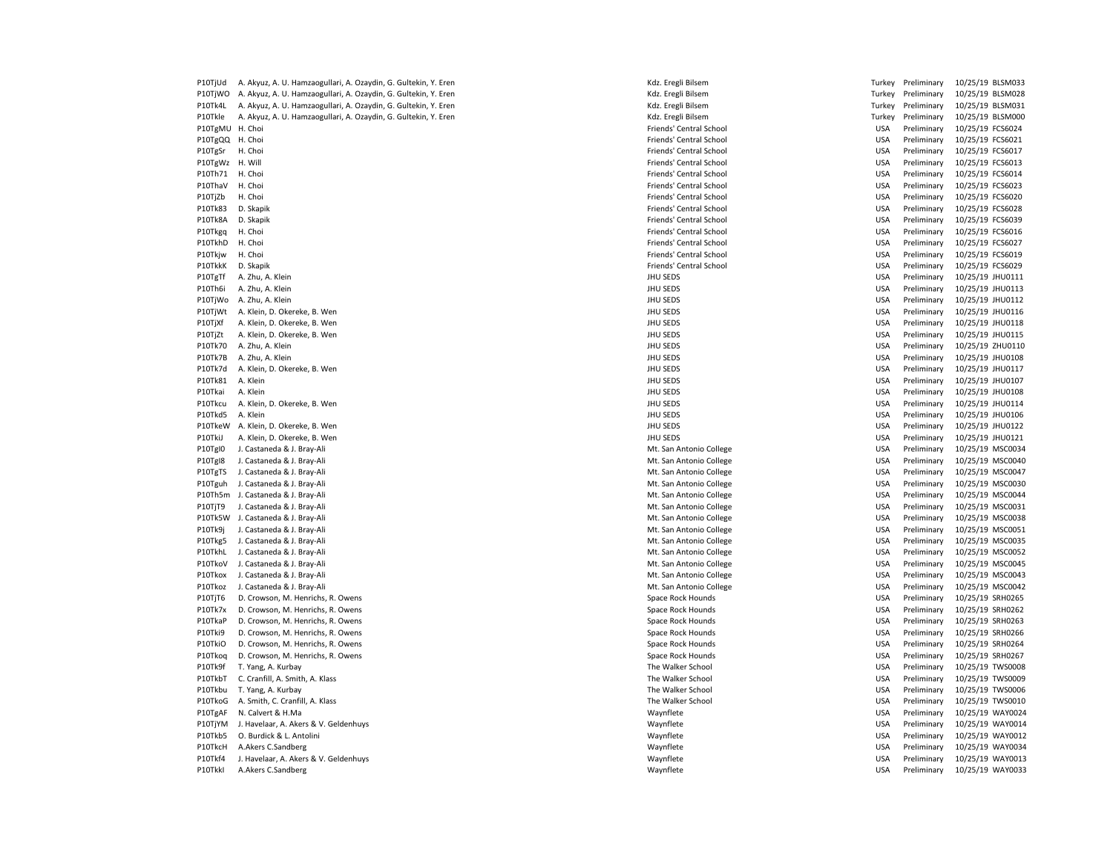| P10TjUd         | A. Akyuz, A. U. Hamzaogullari, A. Ozaydin, G. Gultekin, Y. Eren | Kdz. Eregli Bilsem      | Turkey     | Preliminary |                  | 10/25/19 BLSM033 |
|-----------------|-----------------------------------------------------------------|-------------------------|------------|-------------|------------------|------------------|
| P10TjWO         | A. Akyuz, A. U. Hamzaogullari, A. Ozaydin, G. Gultekin, Y. Eren | Kdz. Eregli Bilsem      | Turkey     | Preliminary |                  | 10/25/19 BLSM028 |
| P10Tk4L         | A. Akyuz, A. U. Hamzaogullari, A. Ozaydin, G. Gultekin, Y. Eren | Kdz. Eregli Bilsem      | Turkey     | Preliminary |                  | 10/25/19 BLSM031 |
| P10Tkle         | A. Akyuz, A. U. Hamzaogullari, A. Ozaydin, G. Gultekin, Y. Eren | Kdz. Eregli Bilsem      | Turkey     | Preliminary |                  | 10/25/19 BLSM000 |
| P10TgMU H. Choi |                                                                 | Friends' Central School | <b>USA</b> | Preliminary | 10/25/19 FCS6024 |                  |
| P10TgQQ H. Choi |                                                                 | Friends' Central School | <b>USA</b> | Preliminary | 10/25/19 FCS6021 |                  |
| P10TgSr         | H. Choi                                                         | Friends' Central School | <b>USA</b> | Preliminary | 10/25/19 FCS6017 |                  |
| P10TgWz H. Will |                                                                 | Friends' Central School | <b>USA</b> | Preliminary | 10/25/19 FCS6013 |                  |
| P10Th71         | H. Choi                                                         | Friends' Central School | <b>USA</b> | Preliminary | 10/25/19 FCS6014 |                  |
| P10ThaV         | H. Choi                                                         | Friends' Central School | <b>USA</b> | Preliminary | 10/25/19 FCS6023 |                  |
|                 | H. Choi                                                         |                         |            |             |                  |                  |
| P10TjZb         |                                                                 | Friends' Central School | <b>USA</b> | Preliminary | 10/25/19 FCS6020 |                  |
| P10Tk83         | D. Skapik                                                       | Friends' Central School | <b>USA</b> | Preliminary | 10/25/19 FCS6028 |                  |
| P10Tk8A         | D. Skapik                                                       | Friends' Central School | <b>USA</b> | Preliminary | 10/25/19 FCS6039 |                  |
| P10Tkgq         | H. Choi                                                         | Friends' Central School | <b>USA</b> | Preliminary | 10/25/19 FCS6016 |                  |
| P10TkhD         | H. Choi                                                         | Friends' Central School | <b>USA</b> | Preliminary | 10/25/19 FCS6027 |                  |
| P10Tkjw         | H. Choi                                                         | Friends' Central School | <b>USA</b> | Preliminary | 10/25/19 FCS6019 |                  |
| P10TkkK         | D. Skapik                                                       | Friends' Central School | <b>USA</b> | Preliminary | 10/25/19 FCS6029 |                  |
| P10TgTf         | A. Zhu, A. Klein                                                | JHU SEDS                | <b>USA</b> | Preliminary | 10/25/19 JHU0111 |                  |
| P10Th6i         | A. Zhu, A. Klein                                                | JHU SEDS                | <b>USA</b> | Preliminary | 10/25/19 JHU0113 |                  |
| P10TjWo         | A. Zhu, A. Klein                                                | JHU SEDS                | <b>USA</b> | Preliminary | 10/25/19 JHU0112 |                  |
| P10TjWt         | A. Klein, D. Okereke, B. Wen                                    | JHU SEDS                | <b>USA</b> | Preliminary | 10/25/19 JHU0116 |                  |
| P10TjXf         | A. Klein, D. Okereke, B. Wen                                    | JHU SEDS                | <b>USA</b> | Preliminary | 10/25/19 JHU0118 |                  |
| P10TjZt         | A. Klein, D. Okereke, B. Wen                                    | JHU SEDS                | <b>USA</b> | Preliminary | 10/25/19 JHU0115 |                  |
| P10Tk70         | A. Zhu, A. Klein                                                | JHU SEDS                | <b>USA</b> | Preliminary |                  | 10/25/19 ZHU0110 |
| P10Tk7B         | A. Zhu, A. Klein                                                | JHU SEDS                | <b>USA</b> | Preliminary | 10/25/19 JHU0108 |                  |
| P10Tk7d         | A. Klein, D. Okereke, B. Wen                                    | JHU SEDS                | <b>USA</b> | Preliminary | 10/25/19 JHU0117 |                  |
| P10Tk81         | A. Klein                                                        | JHU SEDS                | <b>USA</b> | Preliminary | 10/25/19 JHU0107 |                  |
| P10Tkai         | A. Klein                                                        | JHU SEDS                | <b>USA</b> | Preliminary | 10/25/19 JHU0108 |                  |
| P10Tkcu         | A. Klein, D. Okereke, B. Wen                                    | JHU SEDS                | <b>USA</b> | Preliminary | 10/25/19 JHU0114 |                  |
| P10Tkd5         | A. Klein                                                        | JHU SEDS                | <b>USA</b> | Preliminary |                  | 10/25/19 JHU0106 |
| P10TkeW         | A. Klein, D. Okereke, B. Wen                                    | JHU SEDS                | <b>USA</b> | Preliminary |                  | 10/25/19 JHU0122 |
| P10TkiJ         | A. Klein, D. Okereke, B. Wen                                    | JHU SEDS                | <b>USA</b> | Preliminary |                  | 10/25/19 JHU0121 |
| P10TgI0         | J. Castaneda & J. Bray-Ali                                      | Mt. San Antonio College | <b>USA</b> | Preliminary |                  | 10/25/19 MSC0034 |
| P10Tgl8         | J. Castaneda & J. Bray-Ali                                      | Mt. San Antonio College | <b>USA</b> | Preliminary |                  | 10/25/19 MSC0040 |
| P10TgTS         | J. Castaneda & J. Bray-Ali                                      | Mt. San Antonio College | <b>USA</b> | Preliminary |                  | 10/25/19 MSC0047 |
| P10Tguh         | J. Castaneda & J. Bray-Ali                                      | Mt. San Antonio College | <b>USA</b> | Preliminary |                  | 10/25/19 MSC0030 |
|                 | P10Th5m J. Castaneda & J. Bray-Ali                              | Mt. San Antonio College | <b>USA</b> | Preliminary |                  | 10/25/19 MSC0044 |
| P10TjT9         | J. Castaneda & J. Bray-Ali                                      | Mt. San Antonio College | <b>USA</b> | Preliminary |                  | 10/25/19 MSC0031 |
|                 | P10Tk5W J. Castaneda & J. Bray-Ali                              | Mt. San Antonio College | <b>USA</b> | Preliminary |                  | 10/25/19 MSC0038 |
| P10Tk9j         | J. Castaneda & J. Bray-Ali                                      | Mt. San Antonio College | <b>USA</b> | Preliminary |                  | 10/25/19 MSC0051 |
| P10Tkg5         | J. Castaneda & J. Bray-Ali                                      | Mt. San Antonio College | <b>USA</b> | Preliminary |                  | 10/25/19 MSC0035 |
| P10TkhL         | J. Castaneda & J. Bray-Ali                                      | Mt. San Antonio College | <b>USA</b> | Preliminary |                  | 10/25/19 MSC0052 |
| P10TkoV         | J. Castaneda & J. Bray-Ali                                      | Mt. San Antonio College | <b>USA</b> | Preliminary |                  | 10/25/19 MSC0045 |
| P10Tkox         | J. Castaneda & J. Bray-Ali                                      | Mt. San Antonio College | <b>USA</b> | Preliminary |                  | 10/25/19 MSC0043 |
| P10Tkoz         | J. Castaneda & J. Bray-Ali                                      | Mt. San Antonio College | <b>USA</b> | Preliminary |                  | 10/25/19 MSC0042 |
| P10TjT6         | D. Crowson, M. Henrichs, R. Owens                               | Space Rock Hounds       | <b>USA</b> | Preliminary |                  | 10/25/19 SRH0265 |
| P10Tk7x         | D. Crowson, M. Henrichs, R. Owens                               | Space Rock Hounds       | <b>USA</b> | Preliminary |                  | 10/25/19 SRH0262 |
| P10TkaP         | D. Crowson, M. Henrichs, R. Owens                               | Space Rock Hounds       | <b>USA</b> | Preliminary |                  | 10/25/19 SRH0263 |
| P10Tki9         | D. Crowson, M. Henrichs, R. Owens                               | Space Rock Hounds       | <b>USA</b> | Preliminary |                  | 10/25/19 SRH0266 |
| P10TkiO         | D. Crowson, M. Henrichs, R. Owens                               | Space Rock Hounds       | <b>USA</b> | Preliminary |                  | 10/25/19 SRH0264 |
| P10Tkog         | D. Crowson, M. Henrichs, R. Owens                               | Space Rock Hounds       | <b>USA</b> | Preliminary |                  | 10/25/19 SRH0267 |
|                 |                                                                 |                         | <b>USA</b> |             |                  |                  |
| P10Tk9f         | T. Yang, A. Kurbay                                              | The Walker School       |            | Preliminary |                  | 10/25/19 TWS0008 |
| P10TkbT         | C. Cranfill, A. Smith, A. Klass                                 | The Walker School       | <b>USA</b> | Preliminary |                  | 10/25/19 TWS0009 |
| P10Tkbu         | T. Yang, A. Kurbay                                              | The Walker School       | <b>USA</b> | Preliminary |                  | 10/25/19 TWS0006 |
| P10TkoG         | A. Smith, C. Cranfill, A. Klass                                 | The Walker School       | <b>USA</b> | Preliminary |                  | 10/25/19 TWS0010 |
| P10TgAF         | N. Calvert & H.Ma                                               | Waynflete               | <b>USA</b> | Preliminary |                  | 10/25/19 WAY0024 |
| P10TjYM         | J. Havelaar, A. Akers & V. Geldenhuys                           | Waynflete               | <b>USA</b> | Preliminary |                  | 10/25/19 WAY0014 |
| P10Tkb5         | O. Burdick & L. Antolini                                        | Waynflete               | <b>USA</b> | Preliminary |                  | 10/25/19 WAY0012 |
| P10TkcH         | A.Akers C.Sandberg                                              | Waynflete               | <b>USA</b> | Preliminary |                  | 10/25/19 WAY0034 |
| P10Tkf4         | J. Havelaar, A. Akers & V. Geldenhuys                           | Waynflete               | <b>USA</b> | Preliminary |                  | 10/25/19 WAY0013 |
| P10Tkkl         | A.Akers C.Sandberg                                              | Waynflete               | <b>USA</b> | Preliminary |                  | 10/25/19 WAY0033 |

| Y. Eren | Kdz. Eregli Bilsem      | Turkey     | Preliminary |                  | 10/25/19 BLSM033 |
|---------|-------------------------|------------|-------------|------------------|------------------|
| Y. Eren | Kdz. Eregli Bilsem      | Turkey     | Preliminary | 10/25/19 BLSM028 |                  |
| Y. Eren | Kdz. Eregli Bilsem      | Turkey     |             |                  |                  |
|         |                         |            | Preliminary | 10/25/19 BLSM031 |                  |
| Y. Eren | Kdz. Eregli Bilsem      | Turkey     | Preliminary | 10/25/19 BLSM000 |                  |
|         | Friends' Central School | <b>USA</b> | Preliminary | 10/25/19 FCS6024 |                  |
|         | Friends' Central School | <b>USA</b> | Preliminary | 10/25/19 FCS6021 |                  |
|         | Friends' Central School | <b>USA</b> | Preliminary | 10/25/19 FCS6017 |                  |
|         | Friends' Central School | <b>USA</b> | Preliminary | 10/25/19 FCS6013 |                  |
|         | Friends' Central School | <b>USA</b> | Preliminary | 10/25/19 FCS6014 |                  |
|         | Friends' Central School | <b>USA</b> | Preliminary | 10/25/19 FCS6023 |                  |
|         | Friends' Central School | <b>USA</b> | Preliminary | 10/25/19 FCS6020 |                  |
|         | Friends' Central School | <b>USA</b> | Preliminary | 10/25/19 FCS6028 |                  |
|         | Friends' Central School | <b>USA</b> | Preliminary | 10/25/19 FCS6039 |                  |
|         | Friends' Central School | <b>USA</b> | Preliminary | 10/25/19 FCS6016 |                  |
|         | Friends' Central School | <b>USA</b> | Preliminary | 10/25/19 FCS6027 |                  |
|         | Friends' Central School | <b>USA</b> | Preliminary | 10/25/19 FCS6019 |                  |
|         | Friends' Central School | <b>USA</b> | Preliminary | 10/25/19 FCS6029 |                  |
|         | <b>JHU SEDS</b>         | <b>USA</b> | Preliminary | 10/25/19 JHU0111 |                  |
|         | JHU SEDS                | <b>USA</b> | Preliminary | 10/25/19 JHU0113 |                  |
|         | JHU SEDS                | <b>USA</b> |             | 10/25/19 JHU0112 |                  |
|         |                         |            | Preliminary |                  |                  |
|         | JHU SEDS                | <b>USA</b> | Preliminary | 10/25/19 JHU0116 |                  |
|         | JHU SEDS                | <b>USA</b> | Preliminary | 10/25/19 JHU0118 |                  |
|         | JHU SEDS                | <b>USA</b> | Preliminary | 10/25/19 JHU0115 |                  |
|         | JHU SEDS                | <b>USA</b> | Preliminary | 10/25/19 ZHU0110 |                  |
|         | JHU SEDS                | <b>USA</b> | Preliminary | 10/25/19 JHU0108 |                  |
|         | <b>JHU SEDS</b>         | <b>USA</b> | Preliminary | 10/25/19 JHU0117 |                  |
|         | JHU SEDS                | <b>USA</b> | Preliminary | 10/25/19 JHU0107 |                  |
|         | JHU SEDS                | <b>USA</b> | Preliminary | 10/25/19 JHU0108 |                  |
|         | <b>JHU SEDS</b>         | <b>USA</b> | Preliminary | 10/25/19 JHU0114 |                  |
|         | JHU SEDS                | <b>USA</b> | Preliminary | 10/25/19 JHU0106 |                  |
|         | JHU SEDS                | <b>USA</b> | Preliminary | 10/25/19 JHU0122 |                  |
|         | JHU SEDS                | <b>USA</b> | Preliminary | 10/25/19 JHU0121 |                  |
|         | Mt. San Antonio College | <b>USA</b> | Preliminary |                  | 10/25/19 MSC0034 |
|         | Mt. San Antonio College | <b>USA</b> | Preliminary |                  | 10/25/19 MSC0040 |
|         | Mt. San Antonio College | <b>USA</b> | Preliminary |                  | 10/25/19 MSC0047 |
|         | Mt. San Antonio College | <b>USA</b> | Preliminary |                  | 10/25/19 MSC0030 |
|         | Mt. San Antonio College | <b>USA</b> | Preliminary |                  | 10/25/19 MSC0044 |
|         |                         |            |             |                  |                  |
|         | Mt. San Antonio College | <b>USA</b> | Preliminary |                  | 10/25/19 MSC0031 |
|         | Mt. San Antonio College | <b>USA</b> | Preliminary |                  | 10/25/19 MSC0038 |
|         | Mt. San Antonio College | <b>USA</b> | Preliminary | 10/25/19 MSC0051 |                  |
|         | Mt. San Antonio College | <b>USA</b> | Preliminary |                  | 10/25/19 MSC0035 |
|         | Mt. San Antonio College | <b>USA</b> | Preliminary |                  | 10/25/19 MSC0052 |
|         | Mt. San Antonio College | <b>USA</b> | Preliminary |                  | 10/25/19 MSC0045 |
|         | Mt. San Antonio College | <b>USA</b> | Preliminary |                  | 10/25/19 MSC0043 |
|         | Mt. San Antonio College | <b>USA</b> | Preliminary |                  | 10/25/19 MSC0042 |
|         | Space Rock Hounds       | <b>USA</b> | Preliminary | 10/25/19 SRH0265 |                  |
|         | Space Rock Hounds       | <b>USA</b> | Preliminary | 10/25/19 SRH0262 |                  |
|         | Space Rock Hounds       | <b>USA</b> | Preliminary | 10/25/19 SRH0263 |                  |
|         | Space Rock Hounds       | <b>USA</b> | Preliminary | 10/25/19 SRH0266 |                  |
|         | Space Rock Hounds       | <b>USA</b> | Preliminary | 10/25/19 SRH0264 |                  |
|         | Space Rock Hounds       | <b>USA</b> | Preliminary | 10/25/19 SRH0267 |                  |
|         | The Walker School       | <b>USA</b> | Preliminary |                  | 10/25/19 TWS0008 |
|         | The Walker School       | <b>USA</b> | Preliminary |                  | 10/25/19 TWS0009 |
|         | The Walker School       | <b>USA</b> | Preliminary |                  | 10/25/19 TWS0006 |
|         |                         |            |             |                  |                  |
|         | The Walker School       | <b>USA</b> | Preliminary |                  | 10/25/19 TWS0010 |
|         | Waynflete               | <b>USA</b> | Preliminary |                  | 10/25/19 WAY0024 |
|         | Waynflete               | <b>USA</b> | Preliminary |                  | 10/25/19 WAY0014 |
|         | Waynflete               | <b>USA</b> | Preliminary |                  | 10/25/19 WAY0012 |
|         | Waynflete               | <b>USA</b> | Preliminary |                  | 10/25/19 WAY0034 |
|         | Waynflete               | <b>USA</b> | Preliminary |                  | 10/25/19 WAY0013 |
|         | Waynflete               | <b>USA</b> | Preliminary |                  | 10/25/19 WAY0033 |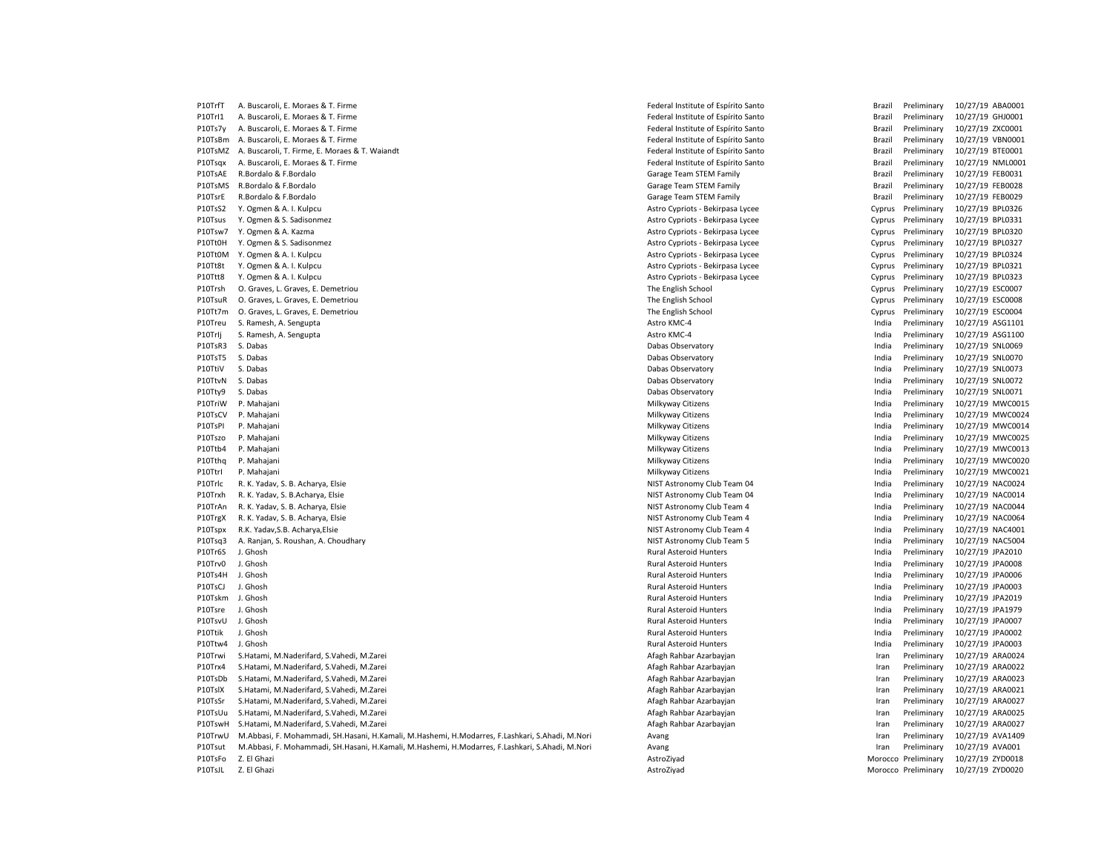P10TrfT A. Buscaroli, E. Moraes & T. Firme Federal Institute of Espírito Santo Federal Institute of Espírito Santo Federal Institute of Espírito Santo Brazil Preliminary 10/27/19 ABA0001 P10Trl1 A. Buscaroli, E. Moraes & T. Firme Federal Institute of Espírito Santo Federal Institute of Espírito Santo Brazil Preliminary 10/27/19 GHJ0001 P10Ts7y A. Buscaroli, E. Moraes & T. Firme Federal Institute of Espírito Santo Federal Institute of Espírito Santo Brazil Preliminary 10/27/19 ZXC0001 P10TsBm A. Buscaroli, E. Moraes & T. Firme Federal Institute of Espírito Santo Federal Institute of Espírito Santo Brazil Preliminary 10/27/19 VBN0001 P10TsMZ A. Buscaroli, T. Firme, E. Moraes & T. Waiandt Federal Institute of Espírito Santo Federal Institute of Espírito Santo Brazil Preliminary 10/27/19 BTE0001 P10Tsqx A. Buscaroli, E. Moraes & T. Firme Federal Institute of Espírito Santo Federal Institute of Espírito Santo Brazil Preliminary 10/27/19 NML0001 P10TsAE R.Bordalo & F.Bordalo Character Character Character Character Carage Team STEM Family Carage Team STEM Family Carage Team STEM Family Brazil Preliminary 10/27/19 FEB0031 P10TsMS R.Bordalo & F.Bordalo **Expanding the Carage Team STEM Family Carage Team STEM Family Brazil Preliminary 10/27/19 FEB0028** P10TsrE R.Bordalo & F.Bordalo Character Character Character Character Carage Team STEM Family Carage Team STEM Family Carage Team STEM Family Brazil Preliminary 10/27/19 FEB0029 P10TsS2 Y. Ogmen & A. I. Kulpcu Natural Astro Cypriots - Bekirpasa Lycee Cypriots - Bekirpasa Lycee Cyprus Preliminary 10/27/19 BPL0326 P10Tsus Y. Ogmen & S. Sadisonmez external astro Cypriots - Bekirpasa Lycee Cypriots - Bekirpasa Lycee Cyprus Preliminary 10/27/19 BPL0331 P10Tsw7 Y. Ogmen & A. Kazma **Astro Cypriots - Bekirpasa Lycee** Cypriots - Bekirpasa Lycee Cyprus Preliminary 10/27/19 BPL0320 P10Tt0H Y. Ogmen & S. Sadisonmez examples and the state of the Samples Astro Cypriots - Bekirpasa Lycee Cypriots - Bekirpasa Lycee Cypriots - Bekirpasa Lycee Cypriots - Bekirpasa Lycee Cyprus Preliminary 10/27/19 BPL0327 P10Tt0M Y. Ogmen & A. I. Kulpcu 
P10Tt0M Y. Ogmen & A. I. Kulpcu 

Astro Cyprus Preliminary 10/27/19 BPL0324 P10Tt8t Y. Ogmen & A. I. Kulpcu **Astro Cypriots - Bekirpasa Lycee** Cypriots - Bekirpasa Lycee Cyprus Preliminary 10/27/19 BPL0321 P10Ttt8 Y. Ogmen & A. I. Kulpcu **Astro Cypriots - Bekirpasa Lycee** Cypriots - Bekirpasa Lycee Cyprus Preliminary 10/27/19 BPL0323 P10Trsh O. Graves, L. Graves, E. Demetriou etc. Cyprus Preliminary 10/27/19 ESC0007 P10TsuR O. Graves, L. Graves, E. Demetriou etc. Cyprus Preliminary 10/27/19 ESC0008 P10Tt7m O. Graves, L. Graves, E. Demetriou etc. Cyprus Preliminary 10/27/19 ESC0004 The English School The English School Cyprus Preliminary 10/27/19 ESC0004 P10Treu S. Ramesh, A. Sengupta **Assemble Assemble Astro KMC-4** Astro KMC-4 Astro KMC-4 **Preliminary 10/27/19 ASG1101** P10Trlj S. Ramesh, A. Sengupta **Astro Astro Astro Astro KMC-4** Astro KMC-4 **Astro KMC-4** India Preliminary 10/27/19 ASG1100 P10TsR3 S. Dabas Observatory Dabas Observatory Dabas Observatory Dabas Observatory India Preliminary 10/27/19 SNL0069 P10TsT5 S. Dabas Dabas Observatory India Preliminary 10/27/19 SNL0070 P10TtiV S. Dabas Nobservatory **Chapacity** Dabas Observatory Dabas Observatory **Chapacity** India Preliminary 10/27/19 SNL0073 P10TtvN S. Dabas Dabas Observatory India Preliminary 10/27/19 SNL0072 P10Tty9 S. Dabas November 2022/19 SNL0071 Pabas Observatory Dabas Observatory Dabas Observatory P10/27/19 SNL0071 P10TriW P. Mahajani 20/27/19 MWC0015 Nilkyway Citizens Milkyway Citizens and a many many 10/27/19 MWC0015 P10TsCV P. Mahajani 20/27/19 MWC0024 Photos and the material material material material material preliminary 10/27/19 MWC0024 P10TsPI P. Mahajani 20/27/19 MWC0014 Perliminary 10/27/19 MWC0014 P10Tszo P. Mahajani **Milkyway Citizens** Milkyway Citizens **India Preliminary 10/27/19 MWC0025** P10Ttb4 P. Mahajani 20/27/19 MWC0013 Nilkyway Citizens Milkyway Citizens India Preliminary 10/27/19 MWC0013 P10Tthq P. Mahajani **Milkyway Citizens** Milkyway Citizens and Milkyway Citizens India Preliminary 10/27/19 MWC0020 P10Ttrl P. Mahajani **Milkyway Citizens** Milkyway Citizens Milkyway Citizens India Preliminary 10/27/19 MWC0021 P10Trlc R. K. Yadav, S. B. Acharya, Elsie Nister Night Astronomy Club Team 04 India Preliminary 10/27/19 NAC0024 P10Trxh R. K. Yadav, S. B.Acharva, Elsie **Nicholas Astronomy Club Team 04** NIST Astronomy Club Team 04 India Preliminary 10/27/19 NAC0014 P10TrAn R. K. Yadav, S. B. Acharva, Elsie Nacopas Nistronomy Club Team 4 India Preliminary 10/27/19 NAC0044 P10TrgX R. K. Yadav, S. B. Acharya, Elsie Naco Offer Nister Astronomy Club Team 4 India Preliminary 10/27/19 NAC0064 P10Tspx R.K. Yadav,S.B. Acharya,Elsie entropy and the Nister Astronomy Club Team 4 India Preliminary 10/27/19 NAC4001 P10Tsq3 A. Ranjan, S. Roushan, A. Choudhary NIST Astronomy Club Team 5 India Preliminary 10/27/19 NAC5004 P10Tr6S J. Ghosh 20/27/19 JPA2010 P10Trv0 J. Ghosh Muslem Rural Asteroid Hunters and The India Preliminary 10/27/19 JPA0008 P10Ts4H J. Ghosh **Rural Asteroid Hunters** Rural Asteroid Hunters **Rural Asteroid Hunters** India Preliminary 10/27/19 JPA0006 P10TsCJ J. Ghosh **Rural Asteroid Hunters** Rural Asteroid Hunters **Rural Asteroid Hunters** India Preliminary 10/27/19 JPA0003 P10Tskm J. Ghosh Rural Asteroid Hunters India Preliminary 10/27/19 JPA2019 P10Tsre J. Ghosh Rural Asteroid Hunters India Preliminary 10/27/19 JPA1979 P10TsvU J. Ghosh Rural Asteroid Hunters India Preliminary 10/27/19 JPA0007 P10Ttik J. Ghosh Rural Asteroid Hunters India Preliminary 10/27/19 JPA0002 P10Ttw4 J. Ghosh 20/27/19 JPA0003 P10Trwi S.Hatami, M.Naderifard, S.Vahedi, M.Zarei Afagh Rahbar Azarbayjan Iran Preliminary 10/27/19 ARA0024 P10Trx4 S.Hatami, M.Naderifard, S.Vahedi, M.Zarei Afagh Rahbar Azarbayjan Iran Preliminary 10/27/19 ARA0022 P10TsDb S.Hatami, M.Naderifard, S.Vahedi, M.Zarei **Americi Accepts and Afagh Rahbar Azarbay**ian Afagh Rahbar Azarbayjan Iran Preliminary 10/27/19 ARA0023 P10TslX S.Hatami, M.Naderifard, S.Vahedi, M.Zarei Afagh Rahbar Azarbayjan Iran Preliminary 10/27/19 ARA0021 P10TsSr S.Hatami, M.Naderifard, S.Vahedi, M.Zarei Afagh Rahbar Azarbayjan Iran Preliminary 10/27/19 ARA0027 P10TsUu S.Hatami, M.Naderifard, S.Vahedi, M.Zarei **American Afagh Rahbar Azarbayian** Afagh Rahbar Azarbayjan **Iran Preliminary 10/27/19 ARA0025** P10TswH S.Hatami, M.Naderifard, S.Vahedi, M.Zarei Afagh Rahbar Azarbayjan Iran Preliminary 10/27/19 ARA0027 P10TrwU M.Abbasi, F. Mohammadi, SH.Hasani, H.Kamali, M.Hashemi, H.Modarres, F.Lashkari, S.Ahadi, M.Nori Avang Iran Preliminary 10/27/19 AVA1409 P10Tsut M.Abbasi, F. Mohammadi, SH.Hasani, H.Kamali, M.Hashemi, H.Modarres, F.Lashkari, S.Ahadi, M.Nori Avang Iran Preliminary 10/27/19 AVA001 P10TsFo Z. El Ghazi 2700018 (Preliminary 10/27/19 ZYD0018 AstroZiyad AstroZiyad Morocco Preliminary 10/27/19 ZYD0018 P10TsJL Z. El Ghazi 2000201 2000020 2000201 2000201 2000201 200020 AstroZiyad Morocco Preliminary 10/27/19 ZYD0020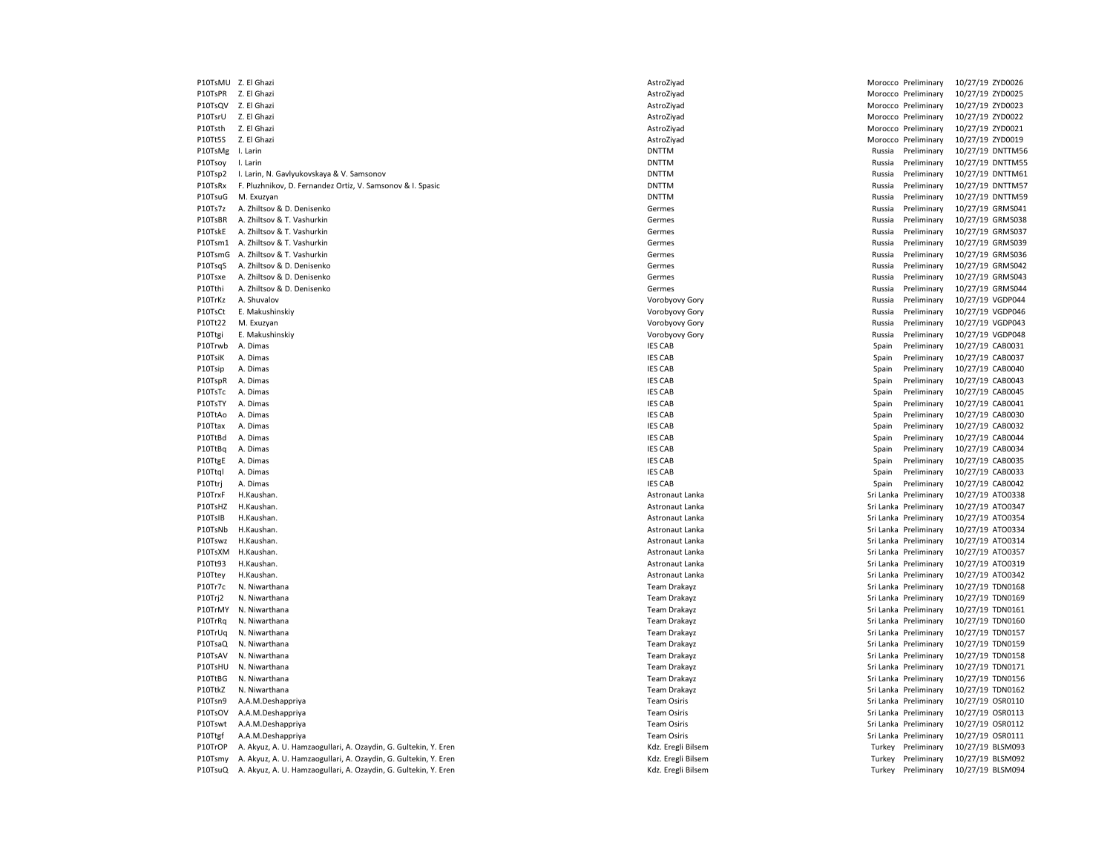| P10TsMU Z. El Ghazi |                                                                 | AstroZiyad                               |        | Morocco Preliminary   | 10/27/19 ZYD0026 |  |
|---------------------|-----------------------------------------------------------------|------------------------------------------|--------|-----------------------|------------------|--|
| P10TsPR Z. El Ghazi |                                                                 | AstroZiyad                               |        | Morocco Preliminary   | 10/27/19 ZYD0025 |  |
| P10TsQV             | Z. El Ghazi                                                     | AstroZiyad                               |        | Morocco Preliminary   | 10/27/19 ZYD0023 |  |
| P10TsrU             | Z. El Ghazi                                                     | AstroZiyad                               |        | Morocco Preliminary   | 10/27/19 ZYD0022 |  |
| P10Tsth             | Z. El Ghazi                                                     | AstroZiyad                               |        | Morocco Preliminary   | 10/27/19 ZYD0021 |  |
| P10Tt5S             | Z. El Ghazi                                                     | AstroZiyad                               |        | Morocco Preliminary   | 10/27/19 ZYD0019 |  |
| P10TsMg             | I. Larin                                                        | <b>DNTTM</b>                             | Russia | Preliminary           | 10/27/19 DNTTM5  |  |
| P10Tsoy             | I. Larin                                                        | <b>DNTTM</b>                             | Russia | Preliminary           | 10/27/19 DNTTM5! |  |
| P10Tsp2             | I. Larin, N. Gavlyukovskaya & V. Samsonov                       | <b>DNTTM</b>                             | Russia | Preliminary           | 10/27/19 DNTTM6: |  |
| P10TsRx             | F. Pluzhnikov, D. Fernandez Ortiz, V. Samsonov & I. Spasic      | <b>DNTTM</b>                             | Russia | Preliminary           | 10/27/19 DNTTM5  |  |
|                     |                                                                 | <b>DNTTM</b>                             |        |                       | 10/27/19 DNTTM5  |  |
| P10TsuG             | M. Exuzyan                                                      |                                          | Russia | Preliminary           |                  |  |
| P10Ts7z             | A. Zhiltsov & D. Denisenko                                      | Germes                                   | Russia | Preliminary           | 10/27/19 GRMS041 |  |
| P10TsBR             | A. Zhiltsov & T. Vashurkin                                      | Germes                                   | Russia | Preliminary           | 10/27/19 GRMS038 |  |
| P10TskE             | A. Zhiltsov & T. Vashurkin                                      | Germes                                   | Russia | Preliminary           | 10/27/19 GRMS037 |  |
| P10Tsm1             | A. Zhiltsov & T. Vashurkin                                      | Germes                                   | Russia | Preliminary           | 10/27/19 GRMS039 |  |
| P10TsmG             | A. Zhiltsov & T. Vashurkin                                      | Germes                                   | Russia | Preliminary           | 10/27/19 GRMS036 |  |
| P10TsqS             | A. Zhiltsov & D. Denisenko                                      | Germes                                   | Russia | Preliminary           | 10/27/19 GRMS042 |  |
| P10Tsxe             | A. Zhiltsov & D. Denisenko                                      | Germes                                   | Russia | Preliminary           | 10/27/19 GRMS043 |  |
| P10Tthi             | A. Zhiltsov & D. Denisenko                                      | Germes                                   | Russia | Preliminary           | 10/27/19 GRMS044 |  |
| P10TrKz             | A. Shuvalov                                                     | Vorobyovy Gory                           | Russia | Preliminary           | 10/27/19 VGDP044 |  |
| P10TsCt             | E. Makushinskiy                                                 | Vorobyovy Gory                           | Russia | Preliminary           | 10/27/19 VGDP046 |  |
| P10Tt22             | M. Exuzyan                                                      | Vorobyovy Gory                           | Russia | Preliminary           | 10/27/19 VGDP043 |  |
| P10Ttgi             | E. Makushinskiy                                                 | Vorobyovy Gory                           | Russia | Preliminary           | 10/27/19 VGDP048 |  |
| P10Trwb             | A. Dimas                                                        | <b>IES CAB</b>                           | Spain  | Preliminary           | 10/27/19 CAB0031 |  |
| P10TsiK             | A. Dimas                                                        | <b>IES CAB</b>                           | Spain  | Preliminary           | 10/27/19 CAB0037 |  |
| P10Tsip             | A. Dimas                                                        | <b>IES CAB</b>                           | Spain  | Preliminary           | 10/27/19 CAB0040 |  |
| P10TspR             | A. Dimas                                                        | <b>IES CAB</b>                           | Spain  | Preliminary           | 10/27/19 CAB0043 |  |
| P10TsTc             | A. Dimas                                                        | <b>IES CAB</b>                           | Spain  | Preliminary           | 10/27/19 CAB0045 |  |
| P10TsTY             | A. Dimas                                                        | <b>IES CAB</b>                           | Spain  | Preliminary           | 10/27/19 CAB0041 |  |
| P10TtAo             | A. Dimas                                                        | <b>IES CAB</b>                           | Spain  | Preliminary           | 10/27/19 CAB0030 |  |
| P10Ttax             | A. Dimas                                                        | <b>IES CAB</b>                           | Spain  | Preliminary           | 10/27/19 CAB0032 |  |
| P10TtBd             | A. Dimas                                                        | <b>IES CAB</b>                           | Spain  | Preliminary           | 10/27/19 CAB0044 |  |
| P10TtBq             | A. Dimas                                                        | <b>IES CAB</b>                           | Spain  | Preliminary           | 10/27/19 CAB0034 |  |
| P10TtgE             | A. Dimas                                                        | <b>IES CAB</b>                           | Spain  | Preliminary           | 10/27/19 CAB0035 |  |
| P10Ttql             | A. Dimas                                                        | <b>IES CAB</b>                           | Spain  | Preliminary           | 10/27/19 CAB0033 |  |
| P10Ttrj             | A. Dimas                                                        | <b>IES CAB</b>                           | Spain  | Preliminary           | 10/27/19 CAB0042 |  |
|                     | H.Kaushan.                                                      |                                          |        | Sri Lanka Preliminary | 10/27/19 ATO0338 |  |
| P10TrxF             |                                                                 | Astronaut Lanka                          |        |                       |                  |  |
| P10TsHZ             | H.Kaushan.                                                      | Astronaut Lanka                          |        | Sri Lanka Preliminary | 10/27/19 ATO0347 |  |
| P10TsIB             | H.Kaushan.                                                      | Astronaut Lanka                          |        | Sri Lanka Preliminary | 10/27/19 ATO0354 |  |
| P10TsNb             | H.Kaushan.                                                      | Astronaut Lanka                          |        | Sri Lanka Preliminary | 10/27/19 ATO0334 |  |
| P10Tswz             | H.Kaushan.                                                      | Astronaut Lanka                          |        | Sri Lanka Preliminary | 10/27/19 ATO0314 |  |
| P10TsXM             | H.Kaushan.                                                      | Astronaut Lanka                          |        | Sri Lanka Preliminary | 10/27/19 ATO0357 |  |
| P10Tt93             | H.Kaushan.                                                      | Astronaut Lanka                          |        | Sri Lanka Preliminary | 10/27/19 ATO0319 |  |
| P10Ttey             | H.Kaushan.                                                      | Astronaut Lanka                          |        | Sri Lanka Preliminary | 10/27/19 ATO0342 |  |
| P10Tr7c             | N. Niwarthana                                                   | Team Drakayz                             |        | Sri Lanka Preliminary | 10/27/19 TDN0168 |  |
| P10Trj2             | N. Niwarthana                                                   | <b>Team Drakayz</b>                      |        | Sri Lanka Preliminary | 10/27/19 TDN0169 |  |
| P10TrMY             | N. Niwarthana                                                   | <b>Team Drakayz</b>                      |        | Sri Lanka Preliminary | 10/27/19 TDN0161 |  |
| P10TrRq             | N. Niwarthana                                                   | <b>Team Drakayz</b>                      |        | Sri Lanka Preliminary | 10/27/19 TDN0160 |  |
| P10TrUq             | N. Niwarthana                                                   | <b>Team Drakayz</b>                      |        | Sri Lanka Preliminary | 10/27/19 TDN0157 |  |
| P10TsaQ             | N. Niwarthana                                                   | <b>Team Drakayz</b>                      |        | Sri Lanka Preliminary | 10/27/19 TDN0159 |  |
| P10TsAV             | N. Niwarthana                                                   | <b>Team Drakayz</b>                      |        | Sri Lanka Preliminary | 10/27/19 TDN0158 |  |
| P10TsHU             | N. Niwarthana                                                   | <b>Team Drakayz</b>                      |        | Sri Lanka Preliminary | 10/27/19 TDN0171 |  |
| P10TtBG             | N. Niwarthana                                                   | <b>Team Drakayz</b>                      |        | Sri Lanka Preliminary | 10/27/19 TDN0156 |  |
| P10TtkZ             | N. Niwarthana                                                   | <b>Team Drakayz</b>                      |        | Sri Lanka Preliminary | 10/27/19 TDN0162 |  |
| P10Tsn9             | A.A.M.Deshappriya                                               | <b>Team Osiris</b>                       |        | Sri Lanka Preliminary | 10/27/19 OSR0110 |  |
| P10TsOV             | A.A.M.Deshappriya                                               | <b>Team Osiris</b>                       |        | Sri Lanka Preliminary | 10/27/19 OSR0113 |  |
| P10Tswt             | A.A.M.Deshappriya                                               | <b>Team Osiris</b>                       |        | Sri Lanka Preliminary | 10/27/19 OSR0112 |  |
| P10Ttgf             | A.A.M.Deshappriya                                               | <b>Team Osiris</b>                       |        | Sri Lanka Preliminary | 10/27/19 OSR0111 |  |
| P10TrOP             |                                                                 |                                          | Turkey |                       |                  |  |
|                     | A. Akyuz, A. U. Hamzaogullari, A. Ozaydin, G. Gultekin, Y. Eren | Kdz. Eregli Bilsem<br>Kdz. Eregli Bilsem |        | Preliminary           | 10/27/19 BLSM093 |  |
| P10Tsmy             | A. Akyuz, A. U. Hamzaogullari, A. Ozaydin, G. Gultekin, Y. Eren |                                          |        | Turkey Preliminary    | 10/27/19 BLSM092 |  |
| P10TsuQ             | A. Akyuz, A. U. Hamzaogullari, A. Ozaydin, G. Gultekin, Y. Eren | Kdz. Eregli Bilsem                       |        | Turkey Preliminary    | 10/27/19 BLSM094 |  |